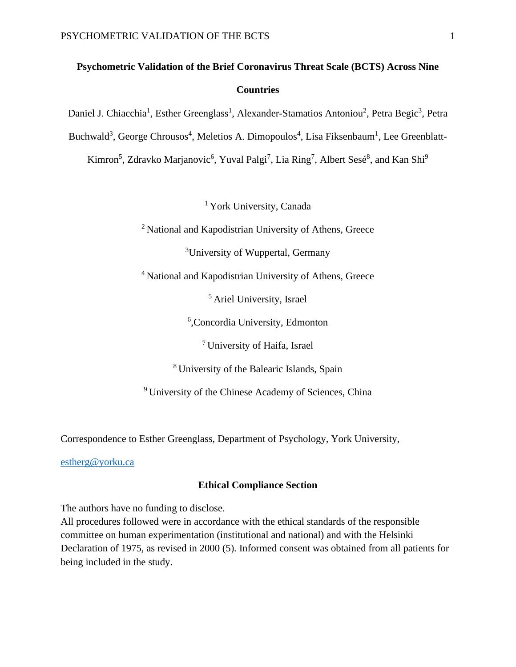# **Psychometric Validation of the Brief Coronavirus Threat Scale (BCTS) Across Nine Countries**

Daniel J. Chiacchia<sup>1</sup>, Esther Greenglass<sup>1</sup>, Alexander-Stamatios Antoniou<sup>2</sup>, Petra Begic<sup>3</sup>, Petra

Buchwald<sup>3</sup>, George Chrousos<sup>4</sup>, Meletios A. Dimopoulos<sup>4</sup>, Lisa Fiksenbaum<sup>1</sup>, Lee Greenblatt-

Kimron<sup>5</sup>, Zdravko Marjanovic<sup>6</sup>, Yuval Palgi<sup>7</sup>, Lia Ring<sup>7</sup>, Albert Sesé<sup>8</sup>, and Kan Shi<sup>9</sup>

<sup>1</sup> York University, Canada

<sup>2</sup> National and Kapodistrian University of Athens, Greece

<sup>3</sup>University of Wuppertal, Germany

<sup>4</sup> National and Kapodistrian University of Athens, Greece

<sup>5</sup> Ariel University, Israel

6 ,Concordia University, Edmonton

<sup>7</sup> University of Haifa, Israel

<sup>8</sup> University of the Balearic Islands, Spain

<sup>9</sup> University of the Chinese Academy of Sciences, China

Correspondence to Esther Greenglass, Department of Psychology, York University,

[estherg@yorku.ca](mailto:estherg@yorku.ca)

## **Ethical Compliance Section**

The authors have no funding to disclose.

All procedures followed were in accordance with the ethical standards of the responsible committee on human experimentation (institutional and national) and with the Helsinki Declaration of 1975, as revised in 2000 (5). Informed consent was obtained from all patients for being included in the study.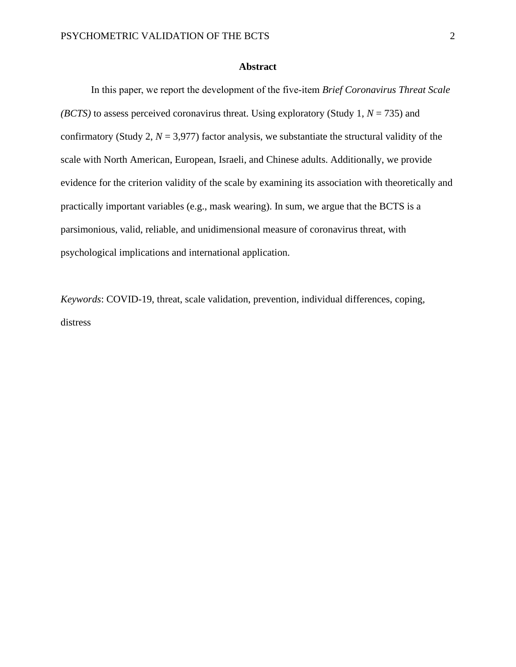## **Abstract**

In this paper, we report the development of the five-item *Brief Coronavirus Threat Scale (BCTS)* to assess perceived coronavirus threat. Using exploratory (Study 1, *N* = 735) and confirmatory (Study 2,  $N = 3.977$ ) factor analysis, we substantiate the structural validity of the scale with North American, European, Israeli, and Chinese adults. Additionally, we provide evidence for the criterion validity of the scale by examining its association with theoretically and practically important variables (e.g., mask wearing). In sum, we argue that the BCTS is a parsimonious, valid, reliable, and unidimensional measure of coronavirus threat, with psychological implications and international application.

*Keywords*: COVID-19, threat, scale validation, prevention, individual differences, coping, distress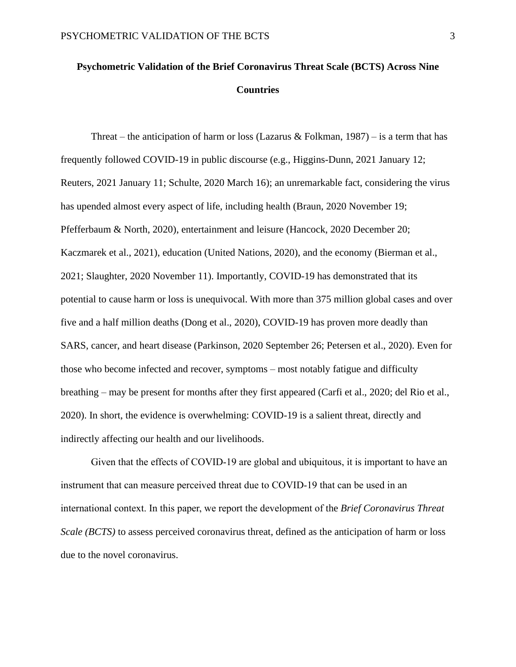# **Psychometric Validation of the Brief Coronavirus Threat Scale (BCTS) Across Nine Countries**

Threat – the anticipation of harm or loss (Lazarus & Folkman, 1987) – is a term that has frequently followed COVID-19 in public discourse (e.g., Higgins-Dunn, 2021 January 12; Reuters, 2021 January 11; Schulte, 2020 March 16); an unremarkable fact, considering the virus has upended almost every aspect of life, including health (Braun, 2020 November 19; Pfefferbaum & North, 2020), entertainment and leisure (Hancock, 2020 December 20; Kaczmarek et al., 2021), education (United Nations, 2020), and the economy (Bierman et al., 2021; Slaughter, 2020 November 11). Importantly, COVID-19 has demonstrated that its potential to cause harm or loss is unequivocal. With more than 375 million global cases and over five and a half million deaths (Dong et al., 2020), COVID-19 has proven more deadly than SARS, cancer, and heart disease (Parkinson, 2020 September 26; Petersen et al., 2020). Even for those who become infected and recover, symptoms – most notably fatigue and difficulty breathing – may be present for months after they first appeared (Carfi et al., 2020; del Rio et al., 2020). In short, the evidence is overwhelming: COVID-19 is a salient threat, directly and indirectly affecting our health and our livelihoods.

Given that the effects of COVID-19 are global and ubiquitous, it is important to have an instrument that can measure perceived threat due to COVID-19 that can be used in an international context. In this paper, we report the development of the *Brief Coronavirus Threat Scale (BCTS)* to assess perceived coronavirus threat, defined as the anticipation of harm or loss due to the novel coronavirus.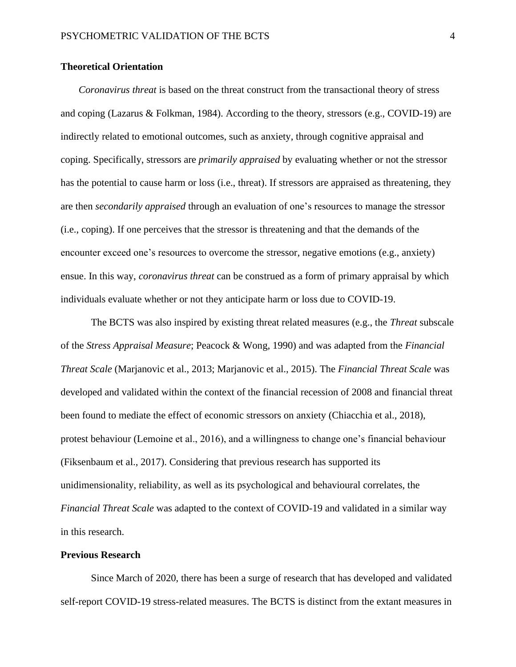## **Theoretical Orientation**

*Coronavirus threat* is based on the threat construct from the transactional theory of stress and coping (Lazarus & Folkman, 1984). According to the theory, stressors (e.g., COVID-19) are indirectly related to emotional outcomes, such as anxiety, through cognitive appraisal and coping. Specifically, stressors are *primarily appraised* by evaluating whether or not the stressor has the potential to cause harm or loss (i.e., threat). If stressors are appraised as threatening, they are then *secondarily appraised* through an evaluation of one's resources to manage the stressor (i.e., coping). If one perceives that the stressor is threatening and that the demands of the encounter exceed one's resources to overcome the stressor, negative emotions (e.g., anxiety) ensue. In this way, *coronavirus threat* can be construed as a form of primary appraisal by which individuals evaluate whether or not they anticipate harm or loss due to COVID-19.

The BCTS was also inspired by existing threat related measures (e.g., the *Threat* subscale of the *Stress Appraisal Measure*; Peacock & Wong, 1990) and was adapted from the *Financial Threat Scale* (Marjanovic et al., 2013; Marjanovic et al., 2015). The *Financial Threat Scale* was developed and validated within the context of the financial recession of 2008 and financial threat been found to mediate the effect of economic stressors on anxiety (Chiacchia et al., 2018), protest behaviour (Lemoine et al., 2016), and a willingness to change one's financial behaviour (Fiksenbaum et al., 2017). Considering that previous research has supported its unidimensionality, reliability, as well as its psychological and behavioural correlates, the *Financial Threat Scale* was adapted to the context of COVID-19 and validated in a similar way in this research.

### **Previous Research**

Since March of 2020, there has been a surge of research that has developed and validated self-report COVID-19 stress-related measures. The BCTS is distinct from the extant measures in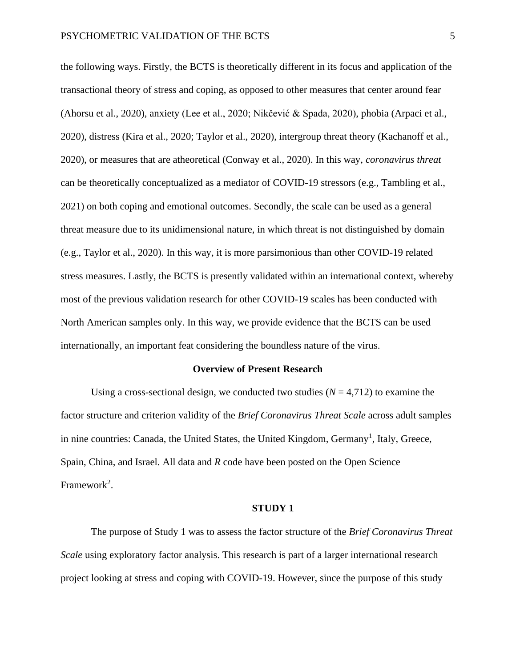the following ways. Firstly, the BCTS is theoretically different in its focus and application of the transactional theory of stress and coping, as opposed to other measures that center around fear (Ahorsu et al., 2020), anxiety (Lee et al., 2020; Nikčević & Spada, 2020), phobia (Arpaci et al., 2020), distress (Kira et al., 2020; Taylor et al., 2020), intergroup threat theory (Kachanoff et al., 2020), or measures that are atheoretical (Conway et al., 2020). In this way, *coronavirus threat* can be theoretically conceptualized as a mediator of COVID-19 stressors (e.g., Tambling et al., 2021) on both coping and emotional outcomes. Secondly, the scale can be used as a general threat measure due to its unidimensional nature, in which threat is not distinguished by domain (e.g., Taylor et al., 2020). In this way, it is more parsimonious than other COVID-19 related stress measures. Lastly, the BCTS is presently validated within an international context, whereby most of the previous validation research for other COVID-19 scales has been conducted with North American samples only. In this way, we provide evidence that the BCTS can be used internationally, an important feat considering the boundless nature of the virus.

#### **Overview of Present Research**

Using a cross-sectional design, we conducted two studies  $(N = 4,712)$  to examine the factor structure and criterion validity of the *Brief Coronavirus Threat Scale* across adult samples in nine countries: Canada, the United States, the United Kingdom, Germany<sup>1</sup>, Italy, Greece, Spain, China, and Israel. All data and *R* code have been posted on the Open Science Framework<sup>2</sup>.

#### **STUDY 1**

The purpose of Study 1 was to assess the factor structure of the *Brief Coronavirus Threat Scale* using exploratory factor analysis. This research is part of a larger international research project looking at stress and coping with COVID-19. However, since the purpose of this study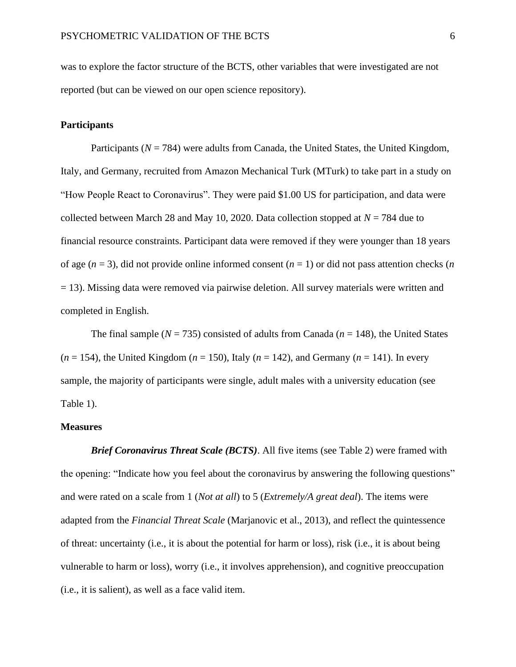was to explore the factor structure of the BCTS, other variables that were investigated are not reported (but can be viewed on our open science repository).

# **Participants**

Participants ( $N = 784$ ) were adults from Canada, the United States, the United Kingdom, Italy, and Germany, recruited from Amazon Mechanical Turk (MTurk) to take part in a study on "How People React to Coronavirus". They were paid \$1.00 US for participation, and data were collected between March 28 and May 10, 2020. Data collection stopped at *N* = 784 due to financial resource constraints. Participant data were removed if they were younger than 18 years of age  $(n = 3)$ , did not provide online informed consent  $(n = 1)$  or did not pass attention checks  $(n = 1)$ = 13). Missing data were removed via pairwise deletion. All survey materials were written and completed in English.

The final sample ( $N = 735$ ) consisted of adults from Canada ( $n = 148$ ), the United States  $(n = 154)$ , the United Kingdom  $(n = 150)$ , Italy  $(n = 142)$ , and Germany  $(n = 141)$ . In every sample, the majority of participants were single, adult males with a university education (see Table 1).

#### **Measures**

*Brief Coronavirus Threat Scale (BCTS)*. All five items (see Table 2) were framed with the opening: "Indicate how you feel about the coronavirus by answering the following questions" and were rated on a scale from 1 (*Not at all*) to 5 (*Extremely/A great deal*). The items were adapted from the *Financial Threat Scale* (Marjanovic et al., 2013), and reflect the quintessence of threat: uncertainty (i.e., it is about the potential for harm or loss), risk (i.e., it is about being vulnerable to harm or loss), worry (i.e., it involves apprehension), and cognitive preoccupation (i.e., it is salient), as well as a face valid item.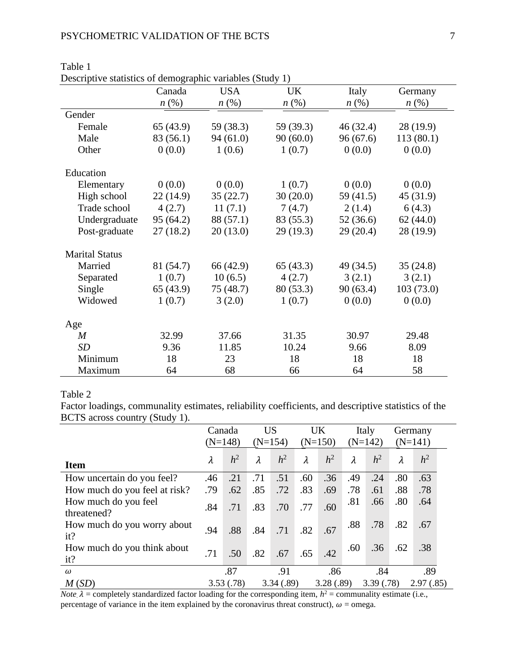|                       | Canada             | <b>USA</b>         | <b>UK</b>          | Italy              | Germany            |
|-----------------------|--------------------|--------------------|--------------------|--------------------|--------------------|
|                       | $n\left(\%\right)$ | $n\left(\%\right)$ | $n\left(\%\right)$ | $n\left(\%\right)$ | $n\left(\%\right)$ |
| Gender                |                    |                    |                    |                    |                    |
| Female                | 65(43.9)           | 59 (38.3)          | 59 (39.3)          | 46(32.4)           | 28(19.9)           |
| Male                  | 83 (56.1)          | 94(61.0)           | 90(60.0)           | 96(67.6)           | 113(80.1)          |
| Other                 | 0(0.0)             | 1(0.6)             | 1(0.7)             | 0(0.0)             | 0(0.0)             |
| Education             |                    |                    |                    |                    |                    |
| Elementary            | 0(0.0)             | 0(0.0)             | 1(0.7)             | 0(0.0)             | 0(0.0)             |
| High school           | 22(14.9)           | 35(22.7)           | 30(20.0)           | 59 (41.5)          | 45 (31.9)          |
| Trade school          | 4(2.7)             | 11(7.1)            | 7(4.7)             | 2(1.4)             | 6(4.3)             |
| Undergraduate         | 95(64.2)           | 88 (57.1)          | 83 (55.3)          | 52(36.6)           | 62(44.0)           |
| Post-graduate         | 27(18.2)           | 20(13.0)           | 29(19.3)           | 29(20.4)           | 28 (19.9)          |
| <b>Marital Status</b> |                    |                    |                    |                    |                    |
| Married               | 81 (54.7)          | 66 (42.9)          | 65(43.3)           | 49 (34.5)          | 35(24.8)           |
| Separated             | 1(0.7)             | 10(6.5)            | 4(2.7)             | 3(2.1)             | 3(2.1)             |
| Single                | 65(43.9)           | 75 (48.7)          | 80(53.3)           | 90(63.4)           | 103(73.0)          |
| Widowed               | 1(0.7)             | 3(2.0)             | 1(0.7)             | 0(0.0)             | 0(0.0)             |
| Age                   |                    |                    |                    |                    |                    |
| $\boldsymbol{M}$      | 32.99              | 37.66              | 31.35              | 30.97              | 29.48              |
| SD                    | 9.36               | 11.85              | 10.24              | 9.66               | 8.09               |
| Minimum               | 18                 | 23                 | 18                 | 18                 | 18                 |
| Maximum               | 64                 | 68                 | 66                 | 64                 | 58                 |

Table 1 Descriptive statistics of demographic variables (Study 1)

## Table 2

Factor loadings, communality estimates, reliability coefficients, and descriptive statistics of the BCTS across country (Study 1).

|                                     | Canada<br>$(N=148)$ |                | <b>US</b><br>$(N=154)$ |                | UK<br>$(N=150)$ |                | Italy<br>$(N=142)$ |                | Germany<br>$(N=141)$ |                |  |
|-------------------------------------|---------------------|----------------|------------------------|----------------|-----------------|----------------|--------------------|----------------|----------------------|----------------|--|
| <b>Item</b>                         | $\lambda$           | h <sup>2</sup> | $\lambda$              | h <sup>2</sup> | $\lambda$       | h <sup>2</sup> | $\lambda$          | h <sup>2</sup> | λ                    | h <sup>2</sup> |  |
| How uncertain do you feel?          | .46                 | .21            | .71                    | .51            | .60             | .36            | .49                | .24            | .80                  | .63            |  |
| How much do you feel at risk?       | .79                 | .62            | .85                    | .72            | .83             | .69            | .78                | .61            | .88                  | .78            |  |
| How much do you feel<br>threatened? | .84                 | .71            | .83                    | .70            | .77             | .60            | .81                | .66            | .80                  | .64            |  |
| How much do you worry about<br>it?  | .94                 | .88            | .84                    | .71            | .82             | .67            | .88                | .78            | .82                  | .67            |  |
| How much do you think about<br>it?  | .71                 | .50            | .82                    | .67            | .65             | .42            | .60                | .36            | .62                  | .38            |  |
| $\omega$                            |                     | .87            |                        | .91            |                 | .86            |                    | .84            |                      | .89            |  |
| M(SD)                               |                     | 3.53(.78)      |                        | 3.34(.89)      |                 | 3.28(.89)      |                    | 3.39(0.78)     |                      | 2.97(.85)      |  |

*Note*,  $\lambda$  = completely standardized factor loading for the corresponding item,  $h^2$  = communality estimate (i.e., percentage of variance in the item explained by the coronavirus threat construct),  $\omega$  = omega.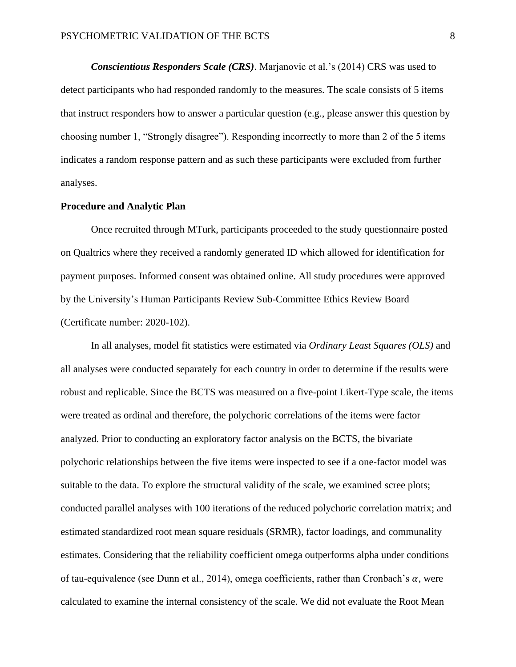*Conscientious Responders Scale (CRS)*. Marjanovic et al.'s (2014) CRS was used to detect participants who had responded randomly to the measures. The scale consists of 5 items that instruct responders how to answer a particular question (e.g., please answer this question by choosing number 1, "Strongly disagree"). Responding incorrectly to more than 2 of the 5 items indicates a random response pattern and as such these participants were excluded from further analyses.

### **Procedure and Analytic Plan**

Once recruited through MTurk, participants proceeded to the study questionnaire posted on Qualtrics where they received a randomly generated ID which allowed for identification for payment purposes. Informed consent was obtained online. All study procedures were approved by the University's Human Participants Review Sub-Committee Ethics Review Board (Certificate number: 2020-102).

In all analyses, model fit statistics were estimated via *Ordinary Least Squares (OLS)* and all analyses were conducted separately for each country in order to determine if the results were robust and replicable. Since the BCTS was measured on a five-point Likert-Type scale, the items were treated as ordinal and therefore, the polychoric correlations of the items were factor analyzed. Prior to conducting an exploratory factor analysis on the BCTS, the bivariate polychoric relationships between the five items were inspected to see if a one-factor model was suitable to the data. To explore the structural validity of the scale, we examined scree plots; conducted parallel analyses with 100 iterations of the reduced polychoric correlation matrix; and estimated standardized root mean square residuals (SRMR), factor loadings, and communality estimates. Considering that the reliability coefficient omega outperforms alpha under conditions of tau-equivalence (see Dunn et al., 2014), omega coefficients, rather than Cronbach's  $\alpha$ , were calculated to examine the internal consistency of the scale. We did not evaluate the Root Mean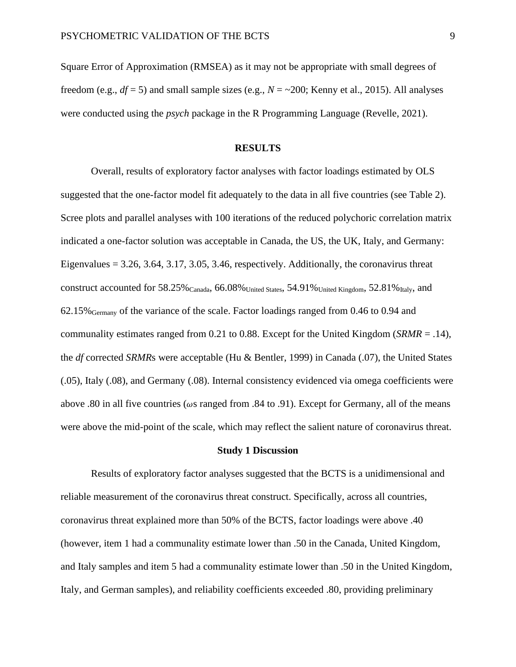Square Error of Approximation (RMSEA) as it may not be appropriate with small degrees of freedom (e.g.,  $df = 5$ ) and small sample sizes (e.g.,  $N = -200$ ; Kenny et al., 2015). All analyses were conducted using the *psych* package in the R Programming Language (Revelle, 2021).

# **RESULTS**

Overall, results of exploratory factor analyses with factor loadings estimated by OLS suggested that the one-factor model fit adequately to the data in all five countries (see Table 2). Scree plots and parallel analyses with 100 iterations of the reduced polychoric correlation matrix indicated a one-factor solution was acceptable in Canada, the US, the UK, Italy, and Germany: Eigenvalues  $= 3.26, 3.64, 3.17, 3.05, 3.46$ , respectively. Additionally, the coronavirus threat construct accounted for  $58.25\%$  Canada,  $66.08\%$  United States,  $54.91\%$  United Kingdom,  $52.81\%$  Italy, and 62.15%Germany of the variance of the scale. Factor loadings ranged from 0.46 to 0.94 and communality estimates ranged from 0.21 to 0.88. Except for the United Kingdom (*SRMR* = .14), the *df* corrected *SRMR*s were acceptable (Hu & Bentler, 1999) in Canada (.07), the United States (.05), Italy (.08), and Germany (.08). Internal consistency evidenced via omega coefficients were above .80 in all five countries ( $\omega s$  ranged from .84 to .91). Except for Germany, all of the means were above the mid-point of the scale, which may reflect the salient nature of coronavirus threat.

#### **Study 1 Discussion**

Results of exploratory factor analyses suggested that the BCTS is a unidimensional and reliable measurement of the coronavirus threat construct. Specifically, across all countries, coronavirus threat explained more than 50% of the BCTS, factor loadings were above .40 (however, item 1 had a communality estimate lower than .50 in the Canada, United Kingdom, and Italy samples and item 5 had a communality estimate lower than .50 in the United Kingdom, Italy, and German samples), and reliability coefficients exceeded .80, providing preliminary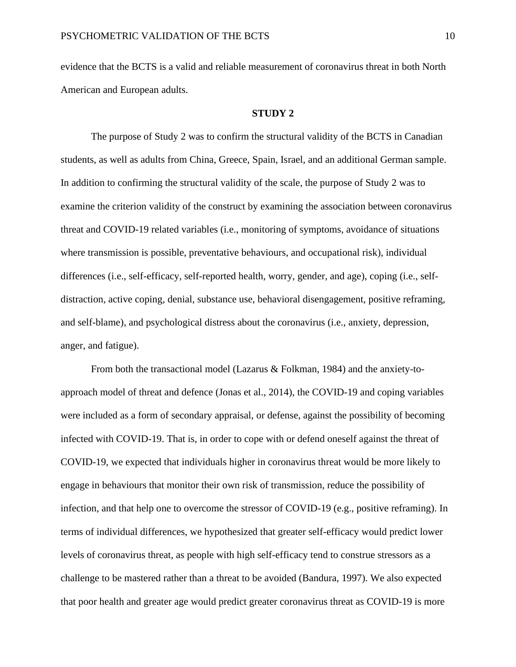evidence that the BCTS is a valid and reliable measurement of coronavirus threat in both North American and European adults.

#### **STUDY 2**

The purpose of Study 2 was to confirm the structural validity of the BCTS in Canadian students, as well as adults from China, Greece, Spain, Israel, and an additional German sample. In addition to confirming the structural validity of the scale, the purpose of Study 2 was to examine the criterion validity of the construct by examining the association between coronavirus threat and COVID-19 related variables (i.e., monitoring of symptoms, avoidance of situations where transmission is possible, preventative behaviours, and occupational risk), individual differences (i.e., self-efficacy, self-reported health, worry, gender, and age), coping (i.e., selfdistraction, active coping, denial, substance use, behavioral disengagement, positive reframing, and self-blame), and psychological distress about the coronavirus (i.e., anxiety, depression, anger, and fatigue).

From both the transactional model (Lazarus & Folkman, 1984) and the anxiety-toapproach model of threat and defence (Jonas et al., 2014), the COVID-19 and coping variables were included as a form of secondary appraisal, or defense, against the possibility of becoming infected with COVID-19. That is, in order to cope with or defend oneself against the threat of COVID-19, we expected that individuals higher in coronavirus threat would be more likely to engage in behaviours that monitor their own risk of transmission, reduce the possibility of infection, and that help one to overcome the stressor of COVID-19 (e.g., positive reframing). In terms of individual differences, we hypothesized that greater self-efficacy would predict lower levels of coronavirus threat, as people with high self-efficacy tend to construe stressors as a challenge to be mastered rather than a threat to be avoided (Bandura, 1997). We also expected that poor health and greater age would predict greater coronavirus threat as COVID-19 is more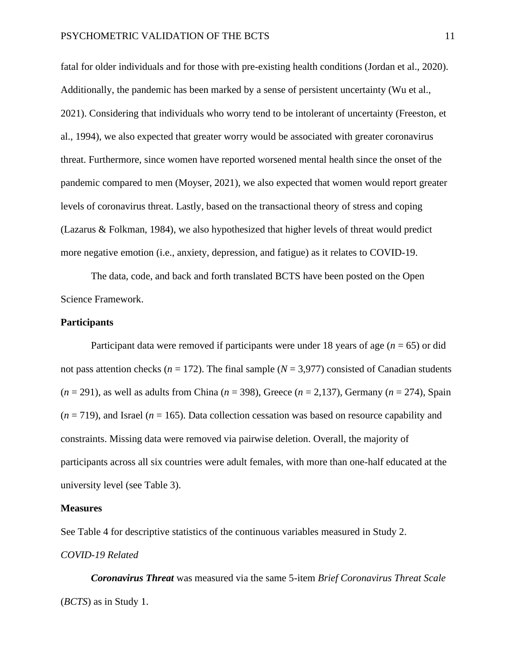fatal for older individuals and for those with pre-existing health conditions (Jordan et al., 2020). Additionally, the pandemic has been marked by a sense of persistent uncertainty (Wu et al., 2021). Considering that individuals who worry tend to be intolerant of uncertainty (Freeston, et al., 1994), we also expected that greater worry would be associated with greater coronavirus threat. Furthermore, since women have reported worsened mental health since the onset of the pandemic compared to men (Moyser, 2021), we also expected that women would report greater levels of coronavirus threat. Lastly, based on the transactional theory of stress and coping (Lazarus & Folkman, 1984), we also hypothesized that higher levels of threat would predict more negative emotion (i.e., anxiety, depression, and fatigue) as it relates to COVID-19.

The data, code, and back and forth translated BCTS have been posted on the Open Science Framework.

## **Participants**

Participant data were removed if participants were under 18 years of age (*n* = 65) or did not pass attention checks ( $n = 172$ ). The final sample ( $N = 3,977$ ) consisted of Canadian students (*n* = 291), as well as adults from China (*n* = 398), Greece (*n* = 2,137), Germany (*n* = 274), Spain  $(n = 719)$ , and Israel  $(n = 165)$ . Data collection cessation was based on resource capability and constraints. Missing data were removed via pairwise deletion. Overall, the majority of participants across all six countries were adult females, with more than one-half educated at the university level (see Table 3).

#### **Measures**

See Table 4 for descriptive statistics of the continuous variables measured in Study 2. *COVID-19 Related*

*Coronavirus Threat* was measured via the same 5-item *Brief Coronavirus Threat Scale* (*BCTS*) as in Study 1.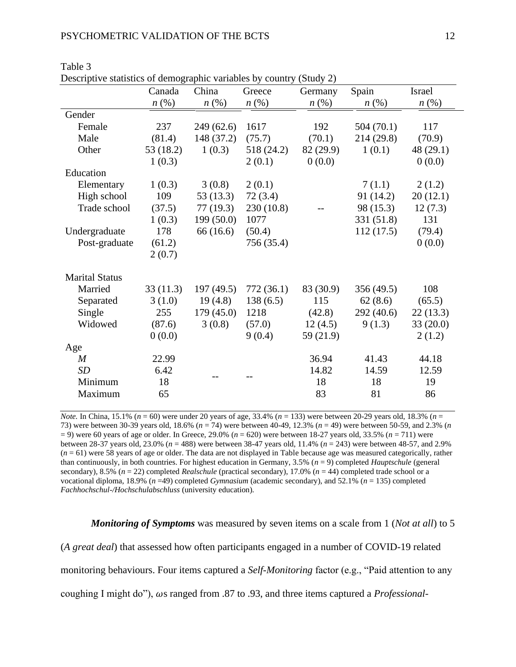| Descriptive statistics of defilographic variables by country (Study 2) | Canada             | China              | Greece             | Germany            | Spain              | Israel             |
|------------------------------------------------------------------------|--------------------|--------------------|--------------------|--------------------|--------------------|--------------------|
|                                                                        | $n\left(\%\right)$ | $n\left(\%\right)$ | $n\left(\%\right)$ | $n\left(\%\right)$ | $n\left(\%\right)$ | $n\left(\%\right)$ |
| Gender                                                                 |                    |                    |                    |                    |                    |                    |
| Female                                                                 | 237                | 249(62.6)          | 1617               | 192                | 504(70.1)          | 117                |
| Male                                                                   | (81.4)             | 148 (37.2)         | (75.7)             | (70.1)             | 214 (29.8)         | (70.9)             |
| Other                                                                  | 53 (18.2)          | 1(0.3)             | 518 (24.2)         | 82 (29.9)          | 1(0.1)             | 48 (29.1)          |
|                                                                        | 1(0.3)             |                    | 2(0.1)             | 0(0.0)             |                    | 0(0.0)             |
| Education                                                              |                    |                    |                    |                    |                    |                    |
| Elementary                                                             | 1(0.3)             | 3(0.8)             | 2(0.1)             |                    | 7(1.1)             | 2(1.2)             |
| High school                                                            | 109                | 53 (13.3)          | 72(3.4)            |                    | 91 (14.2)          | 20(12.1)           |
| Trade school                                                           | (37.5)             | 77(19.3)           | 230 (10.8)         |                    | 98 (15.3)          | 12(7.3)            |
|                                                                        | 1(0.3)             | 199(50.0)          | 1077               |                    | 331 (51.8)         | 131                |
| Undergraduate                                                          | 178                | 66 (16.6)          | (50.4)             |                    | 112(17.5)          | (79.4)             |
| Post-graduate                                                          | (61.2)             |                    | 756 (35.4)         |                    |                    | 0(0.0)             |
|                                                                        | 2(0.7)             |                    |                    |                    |                    |                    |
| <b>Marital Status</b>                                                  |                    |                    |                    |                    |                    |                    |
| Married                                                                | 33(11.3)           | 197(49.5)          | 772 (36.1)         | 83 (30.9)          | 356 (49.5)         | 108                |
| Separated                                                              | 3(1.0)             | 19(4.8)            | 138(6.5)           | 115                | 62(8.6)            | (65.5)             |
| Single                                                                 | 255                | 179(45.0)          | 1218               | (42.8)             | 292 (40.6)         | 22(13.3)           |
| Widowed                                                                | (87.6)             | 3(0.8)             | (57.0)             | 12(4.5)            | 9(1.3)             | 33(20.0)           |
|                                                                        | 0(0.0)             |                    | 9(0.4)             | 59 (21.9)          |                    | 2(1.2)             |
| Age                                                                    |                    |                    |                    |                    |                    |                    |
| $\boldsymbol{M}$                                                       | 22.99              |                    |                    | 36.94              | 41.43              | 44.18              |
| SD                                                                     | 6.42               |                    |                    | 14.82              | 14.59              | 12.59              |
| Minimum                                                                | 18                 |                    |                    | 18                 | 18                 | 19                 |
| Maximum                                                                | 65                 |                    |                    | 83                 | 81                 | 86                 |
|                                                                        |                    |                    |                    |                    |                    |                    |

Table 3 Descriptive statistics of demographic variables by country (Study 2)

*Note.* In China, 15.1% ( $n = 60$ ) were under 20 years of age, 33.4% ( $n = 133$ ) were between 20-29 years old, 18.3% ( $n =$ 73) were between 30-39 years old, 18.6% (*n* = 74) were between 40-49, 12.3% (*n* = 49) were between 50-59, and 2.3% (*n* = 9) were 60 years of age or older. In Greece, 29.0% (*n* = 620) were between 18-27 years old, 33.5% (*n* = 711) were between 28-37 years old, 23.0% (*n* = 488) were between 38-47 years old, 11.4% (*n* = 243) were between 48-57, and 2.9% (*n* = 61) were 58 years of age or older. The data are not displayed in Table because age was measured categorically, rather than continuously, in both countries. For highest education in Germany, 3.5% (*n* = 9) completed *Hauptschule* (general secondary), 8.5% ( $n = 22$ ) completed *Realschule* (practical secondary), 17.0% ( $n = 44$ ) completed trade school or a vocational diploma, 18.9% (*n* =49) completed *Gymnasium* (academic secondary), and 52.1% (*n* = 135) completed *Fachhochschul-/Hochschulabschluss* (university education)*.* 

*Monitoring of Symptoms* was measured by seven items on a scale from 1 (*Not at all*) to 5 (*A great deal*) that assessed how often participants engaged in a number of COVID-19 related monitoring behaviours. Four items captured a *Self-Monitoring* factor (e.g., "Paid attention to any coughing I might do"),  $\omega$ s ranged from .87 to .93, and three items captured a *Professional-*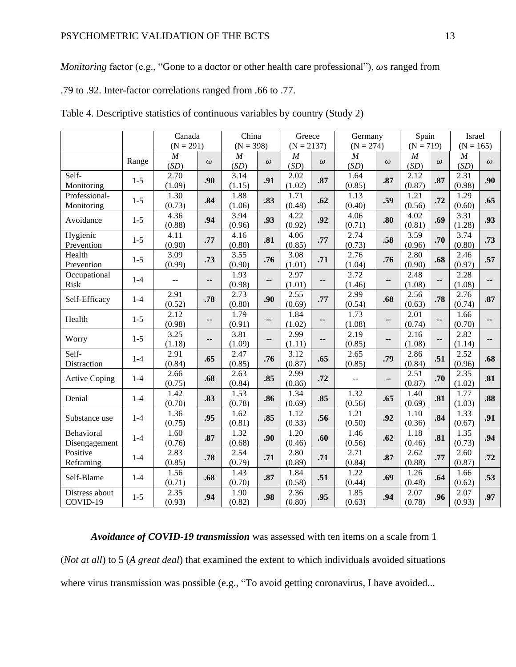*Monitoring* factor (e.g., "Gone to a doctor or other health care professional"),  $\omega s$  ranged from

.79 to .92. Inter-factor correlations ranged from .66 to .77.

|                      |         | Canada           |          | China          |          | Greece           |          | Germany          |          | Spain          |          | Israel         |          |
|----------------------|---------|------------------|----------|----------------|----------|------------------|----------|------------------|----------|----------------|----------|----------------|----------|
|                      |         | $(N = 291)$      |          | $(N = 398)$    |          | $(N = 2137)$     |          | $(N = 274)$      |          | $(N = 719)$    |          | $(N = 165)$    |          |
|                      | Range   | $\boldsymbol{M}$ |          | $\overline{M}$ |          | $\boldsymbol{M}$ |          | $\boldsymbol{M}$ |          | $\overline{M}$ |          | $\overline{M}$ |          |
|                      |         | (SD)             | $\omega$ | (SD)           | $\omega$ | (SD)             | $\omega$ | (SD)             | $\omega$ | (SD)           | $\omega$ | (SD)           | $\omega$ |
| Self-                | $1 - 5$ | 2.70             | .90      | 3.14           | .91      | 2.02             | .87      | 1.64             | .87      | 2.12           | .87      | 2.31           | .90      |
| Monitoring           |         | (1.09)           |          | (1.15)         |          | (1.02)           |          | (0.85)           |          | (0.87)         |          | (0.98)         |          |
| Professional-        | $1 - 5$ | 1.30             | .84      | 1.88           | .83      | 1.71             | .62      | 1.13             | .59      | 1.21           | .72      | 1.29           | .65      |
| Monitoring           |         | (0.73)           |          | (1.06)         |          | (0.48)           |          | (0.40)           |          | (0.56)         |          | (0.60)         |          |
| Avoidance            | $1 - 5$ | 4.36             | .94      | 3.94           | .93      | 4.22             | .92      | 4.06             | .80      | 4.02           | .69      | 3.31           | .93      |
|                      |         | (0.88)           |          | (0.96)         |          | (0.92)           |          | (0.71)           |          | (0.81)         |          | (1.28)         |          |
| Hygienic             | $1 - 5$ | 4.11             | .77      | 4.16           | .81      | 4.06             | .77      | 2.74             | .58      | 3.59           | .70      | 3.74           | .73      |
| Prevention           |         | (0.90)           |          | (0.80)         |          | (0.85)           |          | (0.73)           |          | (0.96)         |          | (0.80)         |          |
| Health               | $1-5$   | 3.09             | .73      | 3.55           | .76      | 3.08             | .71      | 2.76             | .76      | 2.80           | .68      | 2.46           | .57      |
| Prevention           |         | (0.99)           |          | (0.90)         |          | (1.01)           |          | (1.04)           |          | (0.90)         |          | (0.97)         |          |
| Occupational         | $1-4$   | $-$              | ۰.       | 1.93           | --       | 2.97             | --       | 2.72             | --       | 2.48           | --       | 2.28           | --       |
| Risk                 |         |                  |          | (0.98)         |          | (1.01)           |          | (1.46)           |          | (1.08)         |          | (1.08)         |          |
| Self-Efficacy        | $1 - 4$ | 2.91             | .78      | 2.73           | .90      | 2.55             | .77      | 2.99             | .68      | 2.56           | .78      | 2.76           | .87      |
|                      |         | (0.52)           |          | (0.80)         |          | (0.69)           |          | (0.54)           |          | (0.63)         |          | (0.74)         |          |
| Health               | $1 - 5$ | 2.12             | ۰.       | 1.79           | --       | 1.84             | --       | 1.73             | --       | 2.01           | --       | 1.66           | --       |
|                      |         | (0.98)           |          | (0.91)         |          | (1.02)           |          | (1.08)           |          | (0.74)         |          | (0.70)         |          |
| Worry                | $1 - 5$ | 3.25             | --       | 3.81           | --       | 2.99             | --       | 2.19             | --       | 2.16           | --       | 2.82           | --       |
|                      |         | (1.18)           |          | (1.09)         |          | (1.11)           |          | (0.85)           |          | (1.08)         |          | (1.14)         |          |
| Self-                | $1-4$   | 2.91             | .65      | 2.47           | .76      | 3.12             | .65      | 2.65             | .79      | 2.86           | .51      | 2.52           | .68      |
| Distraction          |         | (0.84)           |          | (0.85)         |          | (0.87)           |          | (0.85)           |          | (0.84)         |          | (0.96)         |          |
| <b>Active Coping</b> | $1-4$   | 2.66             | .68      | 2.63           | .85      | 2.99             | .72      | $-$              | --       | 2.51           | .70      | 2.35           | .81      |
|                      |         | (0.75)           |          | (0.84)         |          | (0.86)           |          |                  |          | (0.87)         |          | (1.02)         |          |
| Denial               | $1-4$   | 1.42             | .83      | 1.53           | .86      | 1.34             | .85      | 1.32             | .65      | 1.40           | .81      | 1.77           | .88      |
|                      |         | (0.70)           |          | (0.78)         |          | (0.69)           |          | (0.56)           |          | (0.69)         |          | (1.03)         |          |
| Substance use        | $1-4$   | 1.36             | .95      | 1.62           | .85      | 1.12             | .56      | 1.21             | .92      | 1.10           | .84      | 1.33           | .91      |
|                      |         | (0.75)           |          | (0.81)         |          | (0.33)           |          | (0.50)           |          | (0.36)         |          | (0.67)         |          |
| Behavioral           | $1 - 4$ | 1.60             | .87      | 1.32           | .90      | 1.20             | .60      | 1.46             | .62      | 1.18           | .81      | 1.35           | .94      |
| Disengagement        |         | (0.76)           |          | (0.68)         |          | (0.46)           |          | (0.56)           |          | (0.46)         |          | (0.73)         |          |
| Positive             | $1 - 4$ | 2.83             | .78      | 2.54           | .71      | 2.80             | .71      | 2.71             | .87      | 2.62           | .77      | 2.60           | .72      |
| Reframing            |         | (0.85)           |          | (0.79)         |          | (0.89)           |          | (0.84)           |          | (0.88)         |          | (0.87)         |          |
| Self-Blame           | $1-4$   | 1.56             | .68      | 1.43           | .87      | 1.84             | .51      | 1.22             | .69      | 1.26           | .64      | 1.66           | .53      |
|                      |         | (0.71)           |          | (0.70)         |          | (0.58)           |          | (0.44)           |          | (0.48)         |          | (0.62)         |          |
| Distress about       | $1 - 5$ | 2.35             | .94      | 1.90           | .98      | 2.36             | .95      | 1.85             | .94      | 2.07           | .96      | 2.07           | .97      |
| COVID-19             |         | (0.93)           |          | (0.82)         |          | (0.80)           |          | (0.63)           |          | (0.78)         |          | (0.93)         |          |

| Table 4. Descriptive statistics of continuous variables by country (Study 2) |  |  |  |  |  |  |  |
|------------------------------------------------------------------------------|--|--|--|--|--|--|--|
|------------------------------------------------------------------------------|--|--|--|--|--|--|--|

*Avoidance of COVID-19 transmission* was assessed with ten items on a scale from 1 (*Not at all*) to 5 (*A great deal*) that examined the extent to which individuals avoided situations where virus transmission was possible (e.g., "To avoid getting coronavirus, I have avoided...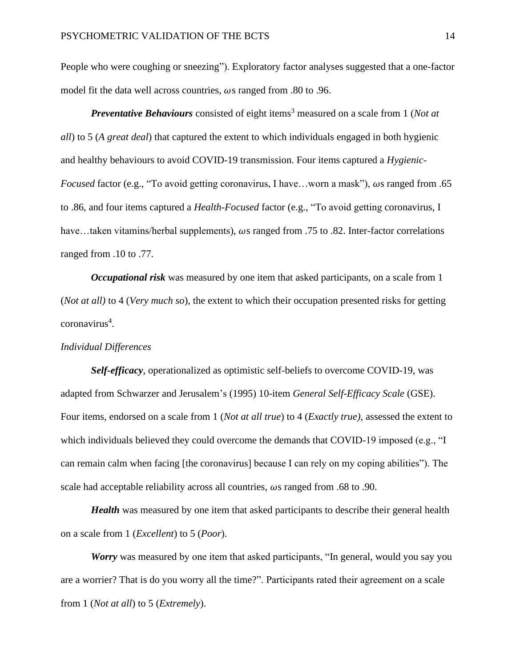People who were coughing or sneezing"). Exploratory factor analyses suggested that a one-factor model fit the data well across countries,  $\omega s$  ranged from .80 to .96.

*Preventative Behaviours* consisted of eight items<sup>3</sup> measured on a scale from 1 (*Not at*) *all*) to 5 (*A great deal*) that captured the extent to which individuals engaged in both hygienic and healthy behaviours to avoid COVID-19 transmission. Four items captured a *Hygienic-Focused* factor (e.g., "To avoid getting coronavirus, I have...worn a mask"),  $\omega s$  ranged from .65 to .86, and four items captured a *Health-Focused* factor (e.g., "To avoid getting coronavirus, I have...taken vitamins/herbal supplements),  $\omega$ s ranged from .75 to .82. Inter-factor correlations ranged from .10 to .77.

*Occupational risk* was measured by one item that asked participants, on a scale from 1 (*Not at all)* to 4 (*Very much so*), the extent to which their occupation presented risks for getting coronavirus<sup>4</sup>.

# *Individual Differences*

*Self-efficacy*, operationalized as optimistic self-beliefs to overcome COVID-19, was adapted from Schwarzer and Jerusalem's (1995) 10-item *General Self-Efficacy Scale* (GSE). Four items, endorsed on a scale from 1 (*Not at all true*) to 4 (*Exactly true),* assessed the extent to which individuals believed they could overcome the demands that COVID-19 imposed (e.g., "I can remain calm when facing [the coronavirus] because I can rely on my coping abilities"). The scale had acceptable reliability across all countries,  $\omega s$  ranged from .68 to .90.

*Health* was measured by one item that asked participants to describe their general health on a scale from 1 (*Excellent*) to 5 (*Poor*).

*Worry* was measured by one item that asked participants, "In general, would you say you are a worrier? That is do you worry all the time?". Participants rated their agreement on a scale from 1 (*Not at all*) to 5 (*Extremely*).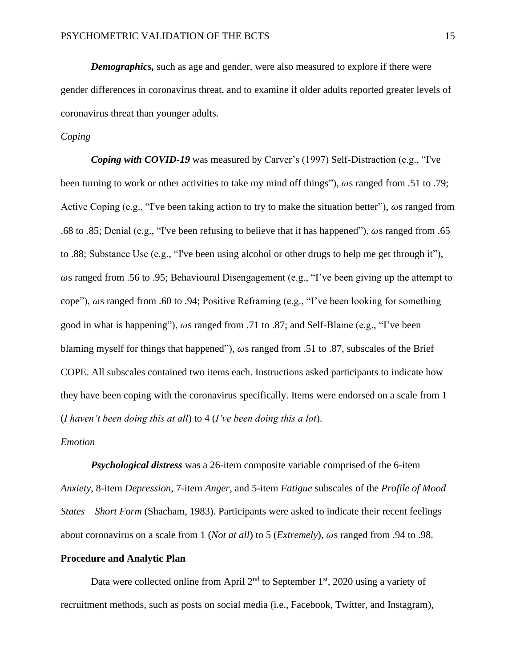*Demographics,* such as age and gender, were also measured to explore if there were gender differences in coronavirus threat, and to examine if older adults reported greater levels of coronavirus threat than younger adults.

# *Coping*

*Coping with COVID-19* was measured by Carver's (1997) Self-Distraction (e.g., "I've been turning to work or other activities to take my mind off things"),  $\omega s$  ranged from .51 to .79; Active Coping (e.g., "I've been taking action to try to make the situation better"),  $\omega s$  ranged from .68 to .85; Denial (e.g., "I've been refusing to believe that it has happened"),  $\omega s$  ranged from .65 to .88; Substance Use (e.g., "I've been using alcohol or other drugs to help me get through it"),  $\omega$ s ranged from .56 to .95; Behavioural Disengagement (e.g., "I've been giving up the attempt to cope"),  $\omega$ s ranged from .60 to .94; Positive Reframing (e.g., "I've been looking for something good in what is happening"),  $\omega s$  ranged from .71 to .87; and Self-Blame (e.g., "I've been blaming myself for things that happened"),  $\omega s$  ranged from .51 to .87, subscales of the Brief COPE. All subscales contained two items each. Instructions asked participants to indicate how they have been coping with the coronavirus specifically. Items were endorsed on a scale from 1 (*I haven't been doing this at all*) to 4 (*I've been doing this a lot*).

## *Emotion*

*Psychological distress* was a 26-item composite variable comprised of the 6-item *Anxiety*, 8-item *Depression*, 7-item *Anger*, and 5-item *Fatigue* subscales of the *Profile of Mood States – Short Form* (Shacham, 1983). Participants were asked to indicate their recent feelings about coronavirus on a scale from 1 (*Not at all*) to 5 (*Extremely*),  $\omega s$  ranged from .94 to .98.

## **Procedure and Analytic Plan**

Data were collected online from April  $2<sup>nd</sup>$  to September 1<sup>st</sup>, 2020 using a variety of recruitment methods, such as posts on social media (i.e., Facebook, Twitter, and Instagram),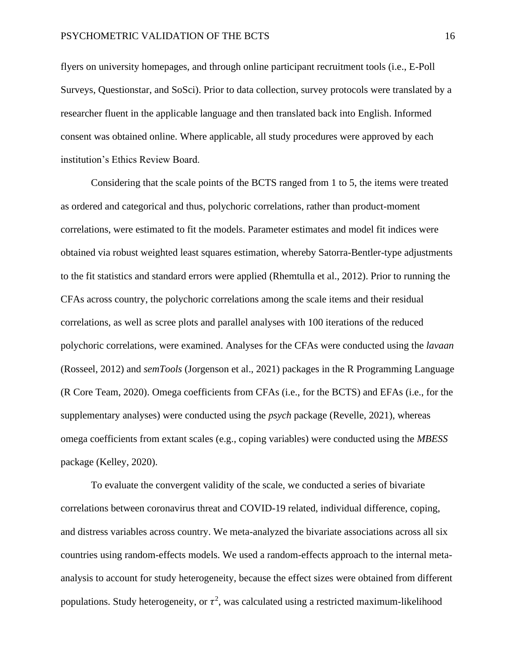flyers on university homepages, and through online participant recruitment tools (i.e., E-Poll Surveys, Questionstar, and SoSci). Prior to data collection, survey protocols were translated by a researcher fluent in the applicable language and then translated back into English. Informed consent was obtained online. Where applicable, all study procedures were approved by each institution's Ethics Review Board.

Considering that the scale points of the BCTS ranged from 1 to 5, the items were treated as ordered and categorical and thus, polychoric correlations, rather than product-moment correlations, were estimated to fit the models. Parameter estimates and model fit indices were obtained via robust weighted least squares estimation, whereby Satorra-Bentler-type adjustments to the fit statistics and standard errors were applied (Rhemtulla et al., 2012). Prior to running the CFAs across country, the polychoric correlations among the scale items and their residual correlations, as well as scree plots and parallel analyses with 100 iterations of the reduced polychoric correlations, were examined. Analyses for the CFAs were conducted using the *lavaan* (Rosseel, 2012) and *semTools* (Jorgenson et al., 2021) packages in the R Programming Language (R Core Team, 2020). Omega coefficients from CFAs (i.e., for the BCTS) and EFAs (i.e., for the supplementary analyses) were conducted using the *psych* package (Revelle, 2021), whereas omega coefficients from extant scales (e.g., coping variables) were conducted using the *MBESS* package (Kelley, 2020).

To evaluate the convergent validity of the scale, we conducted a series of bivariate correlations between coronavirus threat and COVID-19 related, individual difference, coping, and distress variables across country. We meta-analyzed the bivariate associations across all six countries using random-effects models. We used a random-effects approach to the internal metaanalysis to account for study heterogeneity, because the effect sizes were obtained from different populations. Study heterogeneity, or  $\tau^2$ , was calculated using a restricted maximum-likelihood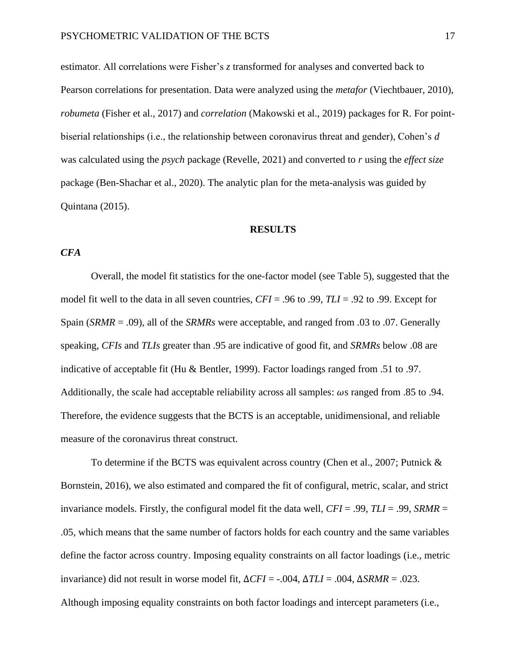estimator. All correlations were Fisher's *z* transformed for analyses and converted back to Pearson correlations for presentation. Data were analyzed using the *metafor* (Viechtbauer, 2010), *robumeta* (Fisher et al., 2017) and *correlation* (Makowski et al., 2019) packages for R. For pointbiserial relationships (i.e., the relationship between coronavirus threat and gender), Cohen's *d* was calculated using the *psych* package (Revelle, 2021) and converted to *r* using the *effect size* package (Ben-Shachar et al., 2020). The analytic plan for the meta-analysis was guided by Quintana (2015).

#### **RESULTS**

# *CFA*

Overall, the model fit statistics for the one-factor model (see Table 5), suggested that the model fit well to the data in all seven countries, *CFI* = .96 to .99, *TLI* = .92 to .99. Except for Spain (*SRMR* = .09), all of the *SRMRs* were acceptable, and ranged from .03 to .07. Generally speaking, *CFIs* and *TLIs* greater than .95 are indicative of good fit, and *SRMRs* below .08 are indicative of acceptable fit (Hu & Bentler, 1999). Factor loadings ranged from .51 to .97. Additionally, the scale had acceptable reliability across all samples:  $\omega s$  ranged from .85 to .94. Therefore, the evidence suggests that the BCTS is an acceptable, unidimensional, and reliable measure of the coronavirus threat construct.

To determine if the BCTS was equivalent across country (Chen et al., 2007; Putnick  $\&$ Bornstein, 2016), we also estimated and compared the fit of configural, metric, scalar, and strict invariance models. Firstly, the configural model fit the data well, *CFI* = .99, *TLI* = .99, *SRMR* = .05, which means that the same number of factors holds for each country and the same variables define the factor across country. Imposing equality constraints on all factor loadings (i.e., metric invariance) did not result in worse model fit, ∆*CFI* = -.004, ∆*TLI* = .004, ∆*SRMR* = .023. Although imposing equality constraints on both factor loadings and intercept parameters (i.e.,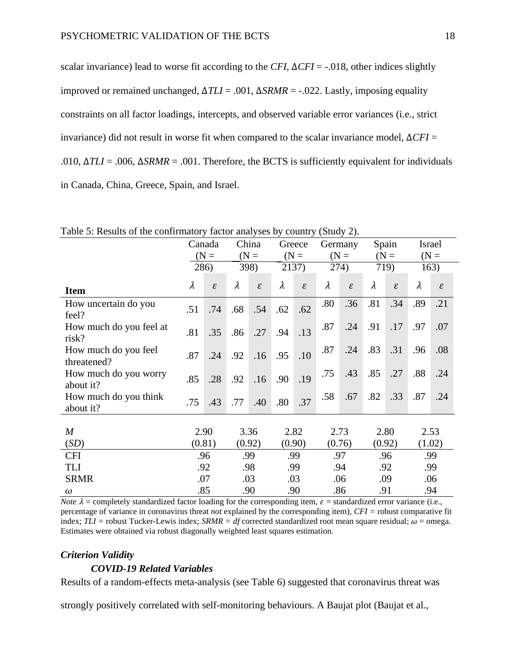scalar invariance) lead to worse fit according to the *CFI*, ∆*CFI* = -.018, other indices slightly improved or remained unchanged, ∆*TLI* = .001, ∆*SRMR* = -.022. Lastly, imposing equality constraints on all factor loadings, intercepts, and observed variable error variances (i.e., strict invariance) did not result in worse fit when compared to the scalar invariance model, ∆*CFI* = .010, ∆*TLI* = .006, ∆*SRMR* = .001. Therefore, the BCTS is sufficiently equivalent for individuals in Canada, China, Greece, Spain, and Israel.

|                                     | Canada    |                             | China     |               | Greece    |               | Germany |                             | Spain     |                             | Israel |               |
|-------------------------------------|-----------|-----------------------------|-----------|---------------|-----------|---------------|---------|-----------------------------|-----------|-----------------------------|--------|---------------|
|                                     | $(N =$    |                             | $(N =$    |               | $(N =$    |               | $(N =$  |                             | $(N =$    |                             | $(N =$ |               |
|                                     |           | 286)                        | 398)      |               | 2137)     |               | 274)    |                             | 719)      |                             | 163)   |               |
| <b>Item</b>                         | $\lambda$ | $\mathcal{E}_{\mathcal{L}}$ | $\lambda$ | $\mathcal{E}$ | $\lambda$ | $\mathcal{E}$ | λ       | $\mathcal{E}_{\mathcal{L}}$ | $\lambda$ | $\mathcal{E}_{\mathcal{L}}$ | λ      | $\mathcal{E}$ |
| How uncertain do you<br>feel?       | .51       | .74                         | .68       | .54           | .62       | .62           | .80     | .36                         | .81       | .34                         | .89    | .21           |
| How much do you feel at<br>risk?    | .81       | .35                         | .86       | .27           | .94       | .13           | .87     | .24                         | .91       | .17                         | .97    | .07           |
| How much do you feel<br>threatened? | .87       | .24                         | .92       | .16           | .95       | .10           | .87     | .24                         | .83       | .31                         | .96    | .08           |
| How much do you worry<br>about it?  | .85       | .28                         | .92       | .16           | .90       | .19           | .75     | .43                         | .85       | .27                         | .88    | .24           |
| How much do you think<br>about it?  | .75       | .43                         | .77       | .40           | .80       | .37           | .58     | .67                         | .82       | .33                         | .87    | .24           |
|                                     |           |                             |           |               |           |               |         |                             |           |                             |        |               |
| $\boldsymbol{M}$                    |           | 2.90                        |           | 3.36          | 2.82      |               | 2.73    |                             |           | 2.80                        |        | 2.53          |
| (SD)                                | (0.81)    |                             |           | (0.92)        |           | (0.90)        |         | (0.76)                      |           | (0.92)                      |        | (1.02)        |
| <b>CFI</b>                          |           | .96                         |           | .99           | .99       |               |         | .97                         | .96       |                             | .99    |               |
| TLI                                 |           | .92                         | .98       |               | .99       |               | .94     |                             | .92       |                             | .99    |               |
| <b>SRMR</b>                         |           | .07                         |           | .03           |           | .03           | .06     |                             | .09       |                             | .06    |               |
| $\omega$                            |           | .85                         |           | .90           | .90       |               | .86     |                             | .91       |                             | .94    |               |

Table 5: Results of the confirmatory factor analyses by country (Study 2).

*Note*,  $\lambda$  = completely standardized factor loading for the corresponding item,  $\varepsilon$  = standardized error variance (i.e., percentage of variance in coronavirus threat *not* explained by the corresponding item), *CFI =* robust comparative fit index;  $TLI$  = robust Tucker-Lewis index;  $SRMR = df$  corrected standardized root mean square residual;  $\omega$  = omega. Estimates were obtained via robust diagonally weighted least squares estimation.

### *Criterion Validity*

## *COVID-19 Related Variables*

Results of a random-effects meta-analysis (see Table 6) suggested that coronavirus threat was

strongly positively correlated with self-monitoring behaviours. A Baujat plot (Baujat et al.,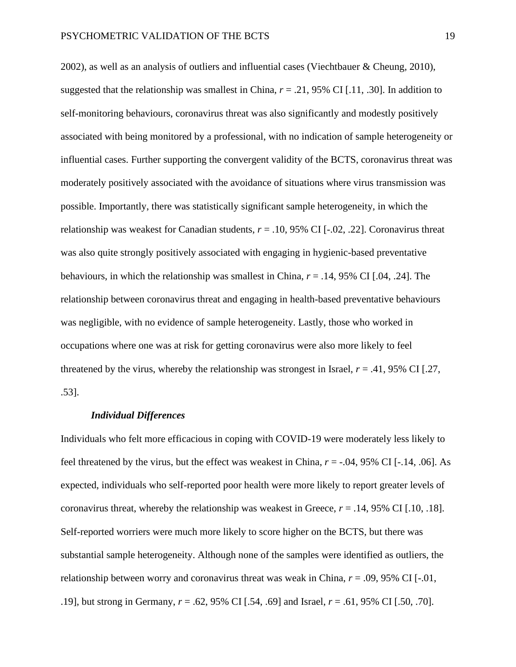2002), as well as an analysis of outliers and influential cases (Viechtbauer & Cheung, 2010), suggested that the relationship was smallest in China,  $r = .21,95\%$  CI [.11, .30]. In addition to self-monitoring behaviours, coronavirus threat was also significantly and modestly positively associated with being monitored by a professional, with no indication of sample heterogeneity or influential cases. Further supporting the convergent validity of the BCTS, coronavirus threat was moderately positively associated with the avoidance of situations where virus transmission was possible. Importantly, there was statistically significant sample heterogeneity, in which the relationship was weakest for Canadian students,  $r = .10, 95\%$  CI [ $-.02, .22$ ]. Coronavirus threat was also quite strongly positively associated with engaging in hygienic-based preventative behaviours, in which the relationship was smallest in China, *r* = .14, 95% CI [.04, .24]. The relationship between coronavirus threat and engaging in health-based preventative behaviours was negligible, with no evidence of sample heterogeneity. Lastly, those who worked in occupations where one was at risk for getting coronavirus were also more likely to feel threatened by the virus, whereby the relationship was strongest in Israel,  $r = .41,95\%$  CI [.27, .53].

#### *Individual Differences*

Individuals who felt more efficacious in coping with COVID-19 were moderately less likely to feel threatened by the virus, but the effect was weakest in China, *r* = -.04, 95% CI [-.14, .06]. As expected, individuals who self-reported poor health were more likely to report greater levels of coronavirus threat, whereby the relationship was weakest in Greece,  $r = .14$ , 95% CI [.10, .18]. Self-reported worriers were much more likely to score higher on the BCTS, but there was substantial sample heterogeneity. Although none of the samples were identified as outliers, the relationship between worry and coronavirus threat was weak in China, *r* = .09, 95% CI [-.01, .19], but strong in Germany, *r* = .62, 95% CI [.54, .69] and Israel, *r* = .61, 95% CI [.50, .70].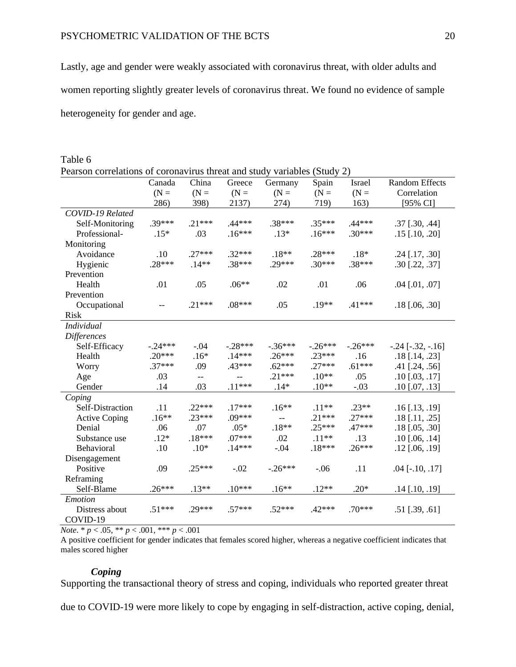Lastly, age and gender were weakly associated with coronavirus threat, with older adults and women reporting slightly greater levels of coronavirus threat. We found no evidence of sample heterogeneity for gender and age.

| Pearson correlations of coronavirus threat and study variables (Study 2) |           |          |           |           |           |           |                         |
|--------------------------------------------------------------------------|-----------|----------|-----------|-----------|-----------|-----------|-------------------------|
|                                                                          | Canada    | China    | Greece    | Germany   | Spain     | Israel    | <b>Random Effects</b>   |
|                                                                          | $(N =$    | $(N =$   | $(N =$    | $(N =$    | $(N =$    | $(N =$    | Correlation             |
|                                                                          | 286)      | 398)     | 2137)     | 274)      | 719)      | 163)      | [95% CI]                |
| COVID-19 Related                                                         |           |          |           |           |           |           |                         |
| Self-Monitoring                                                          | $.39***$  | $.21***$ | $.44***$  | .38***    | $.35***$  | $.44***$  | $.37$ [ $.30, .44$ ]    |
| Professional-                                                            | $.15*$    | .03      | $.16***$  | $.13*$    | $.16***$  | $.30***$  | $.15$ [.10, .20]        |
| Monitoring                                                               |           |          |           |           |           |           |                         |
| Avoidance                                                                | .10       | $.27***$ | $.32***$  | $.18**$   | $.28***$  | $.18*$    | $.24$ [.17, .30]        |
| Hygienic                                                                 | $.28***$  | $.14**$  | $.38***$  | $.29***$  | $.30***$  | $.38***$  | .30 [.22, .37]          |
| Prevention                                                               |           |          |           |           |           |           |                         |
| Health                                                                   | .01       | .05      | $.06**$   | .02       | .01       | .06       | $.04$ [.01, .07]        |
| Prevention                                                               |           |          |           |           |           |           |                         |
| Occupational                                                             | $-$       | $.21***$ | $.08***$  | .05       | $.19**$   | $.41***$  | .18 [.06, .30]          |
| <b>Risk</b>                                                              |           |          |           |           |           |           |                         |
| <b>Individual</b>                                                        |           |          |           |           |           |           |                         |
| Differences                                                              |           |          |           |           |           |           |                         |
| Self-Efficacy                                                            | $-.24***$ | $-.04$   | $-.28***$ | $-.36***$ | $-.26***$ | $-.26***$ | $-.24$ $[-.32, -.16]$   |
| Health                                                                   | $.20***$  | $.16*$   | $.14***$  | $.26***$  | $.23***$  | .16       | $.18$ [.14, .23]        |
| Worry                                                                    | $.37***$  | .09      | .43***    | $.62***$  | $.27***$  | $.61***$  | $.41$ [.24, .56]        |
| Age                                                                      | .03       | $- -$    | $-$       | $.21***$  | $.10**$   | .05       | $.10$ [.03, .17]        |
| Gender                                                                   | .14       | .03      | $.11***$  | $.14*$    | $.10**$   | $-.03$    | $.10$ [.07, .13]        |
| Coping                                                                   |           |          |           |           |           |           |                         |
| Self-Distraction                                                         | .11       | $.22***$ | $.17***$  | $.16**$   | $.11**$   | $.23**$   | $.16$ [ $.13$ , $.19$ ] |
| <b>Active Coping</b>                                                     | $.16**$   | $.23***$ | $.09***$  | $-$       | $.21***$  | $.27***$  | $.18$ [.11, .25]        |
| Denial                                                                   | .06       | .07      | $.05*$    | $.18**$   | $.25***$  | $.47***$  | $.18$ [.05, .30]        |
| Substance use                                                            | $.12*$    | $.18***$ | $.07***$  | .02       | $.11**$   | .13       | $.10$ [ $.06, .14$ ]    |
| Behavioral                                                               | .10       | $.10*$   | $.14***$  | $-.04$    | $.18***$  | $.26***$  | $.12$ [.06, .19]        |
| Disengagement                                                            |           |          |           |           |           |           |                         |
| Positive                                                                 | .09       | $.25***$ | $-.02$    | $-.26***$ | $-.06$    | .11       | .04 [ $-.10, .17$ ]     |
| Reframing                                                                |           |          |           |           |           |           |                         |
| Self-Blame                                                               | $.26***$  | $.13**$  | $.10***$  | $.16**$   | $.12**$   | $.20*$    | $.14$ [.10, .19]        |
| Emotion                                                                  |           |          |           |           |           |           |                         |
| Distress about                                                           | $.51***$  | $.29***$ | $.57***$  | $.52***$  | $.42***$  | $.70***$  | .51 [.39, .61]          |
| COVID-19                                                                 |           |          |           |           |           |           |                         |

Table 6 Pearson correlations of coronavirus threat and study variables (Study 2)

*Note*.  $* p < .05, ** p < .001, ** p < .001$ 

A positive coefficient for gender indicates that females scored higher, whereas a negative coefficient indicates that males scored higher

# *Coping*

Supporting the transactional theory of stress and coping, individuals who reported greater threat

due to COVID-19 were more likely to cope by engaging in self-distraction, active coping, denial,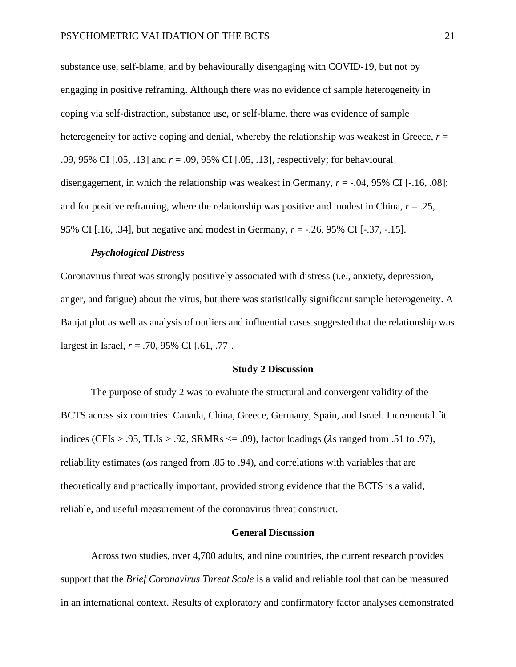substance use, self-blame, and by behaviourally disengaging with COVID-19, but not by engaging in positive reframing. Although there was no evidence of sample heterogeneity in coping via self-distraction, substance use, or self-blame, there was evidence of sample heterogeneity for active coping and denial, whereby the relationship was weakest in Greece,  $r =$ .09, 95% CI [.05, .13] and *r* = .09, 95% CI [.05, .13], respectively; for behavioural disengagement, in which the relationship was weakest in Germany,  $r = -0.04$ , 95% CI [ $-0.16$ , 08]; and for positive reframing, where the relationship was positive and modest in China, *r* = .25, 95% CI [.16, .34], but negative and modest in Germany, *r* = -.26, 95% CI [-.37, -.15].

## *Psychological Distress*

Coronavirus threat was strongly positively associated with distress (i.e., anxiety, depression, anger, and fatigue) about the virus, but there was statistically significant sample heterogeneity. A Baujat plot as well as analysis of outliers and influential cases suggested that the relationship was largest in Israel, *r* = .70, 95% CI [.61, .77].

#### **Study 2 Discussion**

The purpose of study 2 was to evaluate the structural and convergent validity of the BCTS across six countries: Canada, China, Greece, Germany, Spain, and Israel. Incremental fit indices (CFIs > .95, TLIs > .92, SRMRs  $\leq$  .09), factor loadings ( $\lambda$ s ranged from .51 to .97), reliability estimates ( $\omega$ s ranged from .85 to .94), and correlations with variables that are theoretically and practically important, provided strong evidence that the BCTS is a valid, reliable, and useful measurement of the coronavirus threat construct.

## **General Discussion**

Across two studies, over 4,700 adults, and nine countries, the current research provides support that the *Brief Coronavirus Threat Scale* is a valid and reliable tool that can be measured in an international context. Results of exploratory and confirmatory factor analyses demonstrated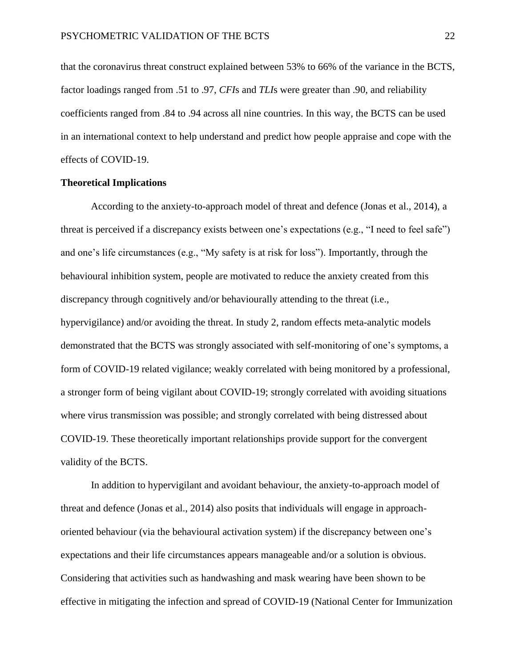that the coronavirus threat construct explained between 53% to 66% of the variance in the BCTS, factor loadings ranged from .51 to .97, *CFI*s and *TLI*s were greater than .90, and reliability coefficients ranged from .84 to .94 across all nine countries. In this way, the BCTS can be used in an international context to help understand and predict how people appraise and cope with the effects of COVID-19.

## **Theoretical Implications**

According to the anxiety-to-approach model of threat and defence (Jonas et al., 2014), a threat is perceived if a discrepancy exists between one's expectations (e.g., "I need to feel safe") and one's life circumstances (e.g., "My safety is at risk for loss"). Importantly, through the behavioural inhibition system, people are motivated to reduce the anxiety created from this discrepancy through cognitively and/or behaviourally attending to the threat (i.e., hypervigilance) and/or avoiding the threat. In study 2, random effects meta-analytic models demonstrated that the BCTS was strongly associated with self-monitoring of one's symptoms, a form of COVID-19 related vigilance; weakly correlated with being monitored by a professional, a stronger form of being vigilant about COVID-19; strongly correlated with avoiding situations where virus transmission was possible; and strongly correlated with being distressed about COVID-19. These theoretically important relationships provide support for the convergent validity of the BCTS.

In addition to hypervigilant and avoidant behaviour, the anxiety-to-approach model of threat and defence (Jonas et al., 2014) also posits that individuals will engage in approachoriented behaviour (via the behavioural activation system) if the discrepancy between one's expectations and their life circumstances appears manageable and/or a solution is obvious. Considering that activities such as handwashing and mask wearing have been shown to be effective in mitigating the infection and spread of COVID-19 (National Center for Immunization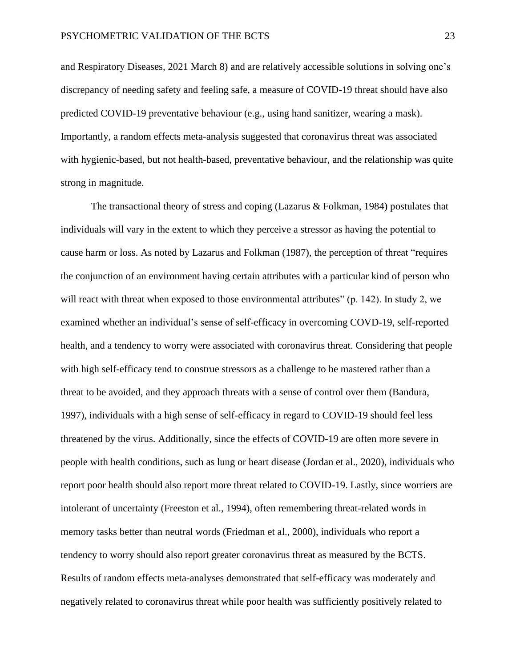and Respiratory Diseases, 2021 March 8) and are relatively accessible solutions in solving one's discrepancy of needing safety and feeling safe, a measure of COVID-19 threat should have also predicted COVID-19 preventative behaviour (e.g., using hand sanitizer, wearing a mask). Importantly, a random effects meta-analysis suggested that coronavirus threat was associated with hygienic-based, but not health-based, preventative behaviour, and the relationship was quite strong in magnitude.

The transactional theory of stress and coping (Lazarus  $\&$  Folkman, 1984) postulates that individuals will vary in the extent to which they perceive a stressor as having the potential to cause harm or loss. As noted by Lazarus and Folkman (1987), the perception of threat "requires the conjunction of an environment having certain attributes with a particular kind of person who will react with threat when exposed to those environmental attributes" (p. 142). In study 2, we examined whether an individual's sense of self-efficacy in overcoming COVD-19, self-reported health, and a tendency to worry were associated with coronavirus threat. Considering that people with high self-efficacy tend to construe stressors as a challenge to be mastered rather than a threat to be avoided, and they approach threats with a sense of control over them (Bandura, 1997), individuals with a high sense of self-efficacy in regard to COVID-19 should feel less threatened by the virus. Additionally, since the effects of COVID-19 are often more severe in people with health conditions, such as lung or heart disease (Jordan et al., 2020), individuals who report poor health should also report more threat related to COVID-19. Lastly, since worriers are intolerant of uncertainty (Freeston et al., 1994), often remembering threat-related words in memory tasks better than neutral words (Friedman et al., 2000), individuals who report a tendency to worry should also report greater coronavirus threat as measured by the BCTS. Results of random effects meta-analyses demonstrated that self-efficacy was moderately and negatively related to coronavirus threat while poor health was sufficiently positively related to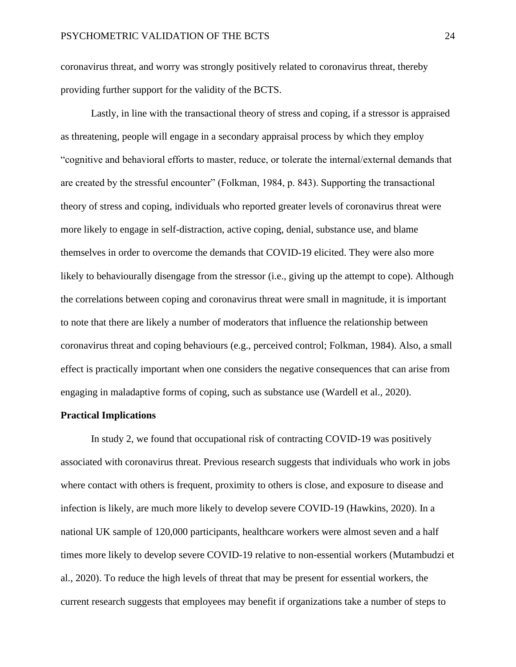coronavirus threat, and worry was strongly positively related to coronavirus threat, thereby providing further support for the validity of the BCTS.

Lastly, in line with the transactional theory of stress and coping, if a stressor is appraised as threatening, people will engage in a secondary appraisal process by which they employ "cognitive and behavioral efforts to master, reduce, or tolerate the internal/external demands that are created by the stressful encounter" (Folkman, 1984, p. 843). Supporting the transactional theory of stress and coping, individuals who reported greater levels of coronavirus threat were more likely to engage in self-distraction, active coping, denial, substance use, and blame themselves in order to overcome the demands that COVID-19 elicited. They were also more likely to behaviourally disengage from the stressor (i.e., giving up the attempt to cope). Although the correlations between coping and coronavirus threat were small in magnitude, it is important to note that there are likely a number of moderators that influence the relationship between coronavirus threat and coping behaviours (e.g., perceived control; Folkman, 1984). Also, a small effect is practically important when one considers the negative consequences that can arise from engaging in maladaptive forms of coping, such as substance use (Wardell et al., 2020).

## **Practical Implications**

In study 2, we found that occupational risk of contracting COVID-19 was positively associated with coronavirus threat. Previous research suggests that individuals who work in jobs where contact with others is frequent, proximity to others is close, and exposure to disease and infection is likely, are much more likely to develop severe COVID-19 (Hawkins, 2020). In a national UK sample of 120,000 participants, healthcare workers were almost seven and a half times more likely to develop severe COVID-19 relative to non-essential workers (Mutambudzi et al., 2020). To reduce the high levels of threat that may be present for essential workers, the current research suggests that employees may benefit if organizations take a number of steps to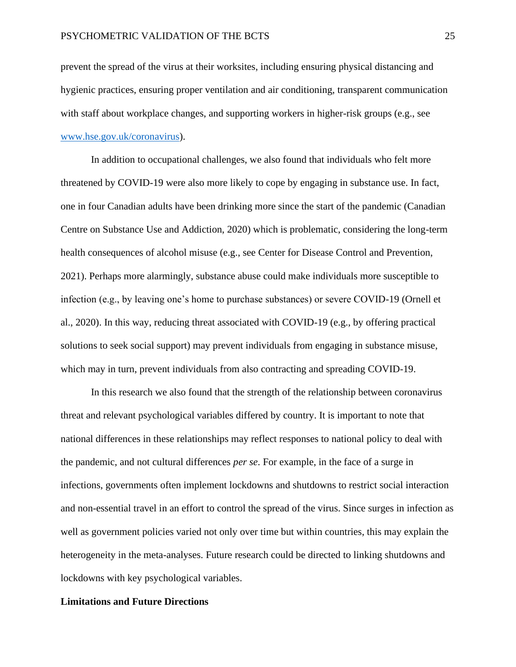prevent the spread of the virus at their worksites, including ensuring physical distancing and hygienic practices, ensuring proper ventilation and air conditioning, transparent communication with staff about workplace changes, and supporting workers in higher-risk groups (e.g., see [www.hse.gov.uk/coronavirus\)](http://www.hse.gov.uk/coronavirus).

In addition to occupational challenges, we also found that individuals who felt more threatened by COVID-19 were also more likely to cope by engaging in substance use. In fact, one in four Canadian adults have been drinking more since the start of the pandemic (Canadian Centre on Substance Use and Addiction, 2020) which is problematic, considering the long-term health consequences of alcohol misuse (e.g., see Center for Disease Control and Prevention, 2021). Perhaps more alarmingly, substance abuse could make individuals more susceptible to infection (e.g., by leaving one's home to purchase substances) or severe COVID-19 (Ornell et al., 2020). In this way, reducing threat associated with COVID-19 (e.g., by offering practical solutions to seek social support) may prevent individuals from engaging in substance misuse, which may in turn, prevent individuals from also contracting and spreading COVID-19.

In this research we also found that the strength of the relationship between coronavirus threat and relevant psychological variables differed by country. It is important to note that national differences in these relationships may reflect responses to national policy to deal with the pandemic, and not cultural differences *per se*. For example, in the face of a surge in infections, governments often implement lockdowns and shutdowns to restrict social interaction and non-essential travel in an effort to control the spread of the virus. Since surges in infection as well as government policies varied not only over time but within countries, this may explain the heterogeneity in the meta-analyses. Future research could be directed to linking shutdowns and lockdowns with key psychological variables.

## **Limitations and Future Directions**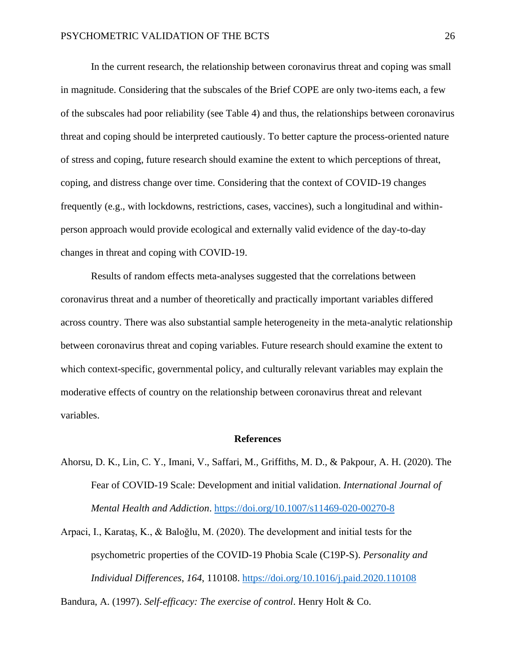In the current research, the relationship between coronavirus threat and coping was small in magnitude. Considering that the subscales of the Brief COPE are only two-items each, a few of the subscales had poor reliability (see Table 4) and thus, the relationships between coronavirus threat and coping should be interpreted cautiously. To better capture the process-oriented nature of stress and coping, future research should examine the extent to which perceptions of threat, coping, and distress change over time. Considering that the context of COVID-19 changes frequently (e.g., with lockdowns, restrictions, cases, vaccines), such a longitudinal and withinperson approach would provide ecological and externally valid evidence of the day-to-day changes in threat and coping with COVID-19.

Results of random effects meta-analyses suggested that the correlations between coronavirus threat and a number of theoretically and practically important variables differed across country. There was also substantial sample heterogeneity in the meta-analytic relationship between coronavirus threat and coping variables. Future research should examine the extent to which context-specific, governmental policy, and culturally relevant variables may explain the moderative effects of country on the relationship between coronavirus threat and relevant variables.

#### **References**

Ahorsu, D. K., Lin, C. Y., Imani, V., Saffari, M., Griffiths, M. D., & Pakpour, A. H. (2020). The Fear of COVID-19 Scale: Development and initial validation. *International Journal of Mental Health and Addiction*. <https://doi.org/10.1007/s11469-020-00270-8>

Arpaci, I., Karataş, K., & Baloğlu, M. (2020). The development and initial tests for the psychometric properties of the COVID-19 Phobia Scale (C19P-S). *Personality and Individual Differences*, *164*, 110108. <https://doi.org/10.1016/j.paid.2020.110108>

Bandura, A. (1997). *Self-efficacy: The exercise of control*. Henry Holt & Co.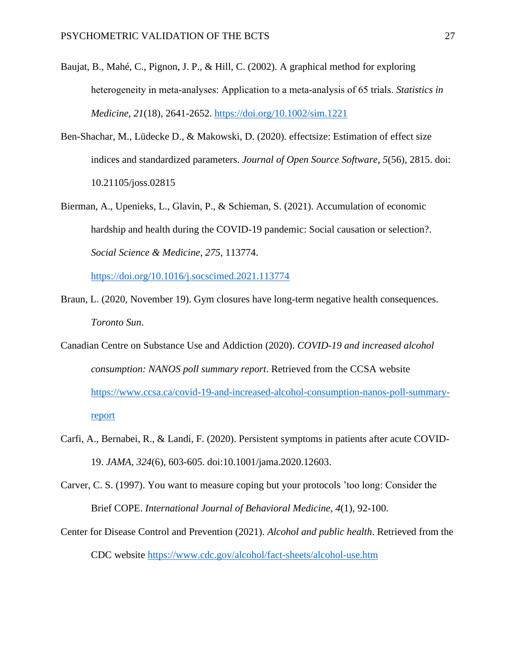- Baujat, B., Mahé, C., Pignon, J. P., & Hill, C. (2002). A graphical method for exploring heterogeneity in meta‐analyses: Application to a meta‐analysis of 65 trials. *Statistics in Medicine*, *21*(18), 2641-2652. <https://doi.org/10.1002/sim.1221>
- Ben-Shachar, M., Lüdecke D., & Makowski, D. (2020). effectsize: Estimation of effect size indices and standardized parameters. *Journal of Open Source Software*, *5*(56), 2815. doi: 10.21105/joss.02815
- Bierman, A., Upenieks, L., Glavin, P., & Schieman, S. (2021). Accumulation of economic hardship and health during the COVID-19 pandemic: Social causation or selection?. *Social Science & Medicine*, *275*, 113774.

<https://doi.org/10.1016/j.socscimed.2021.113774>

- Braun, L. (2020, November 19). Gym closures have long-term negative health consequences. *Toronto Sun*.
- Canadian Centre on Substance Use and Addiction (2020). *COVID-19 and increased alcohol consumption: NANOS poll summary report*. Retrieved from the CCSA website [https://www.ccsa.ca/covid-19-and-increased-alcohol-consumption-nanos-poll-summary](https://www.ccsa.ca/covid-19-and-increased-alcohol-consumption-nanos-poll-summary-%09report)[report](https://www.ccsa.ca/covid-19-and-increased-alcohol-consumption-nanos-poll-summary-%09report)
- Carfi, A., Bernabei, R., & Landi, F. (2020). Persistent symptoms in patients after acute COVID-19. *JAMA*, *324*(6), 603-605. doi:10.1001/jama.2020.12603.
- Carver, C. S. (1997). You want to measure coping but your protocols 'too long: Consider the Brief COPE. *International Journal of Behavioral Medicine*, *4*(1), 92-100.
- Center for Disease Control and Prevention (2021). *Alcohol and public health*. Retrieved from the CDC website<https://www.cdc.gov/alcohol/fact-sheets/alcohol-use.htm>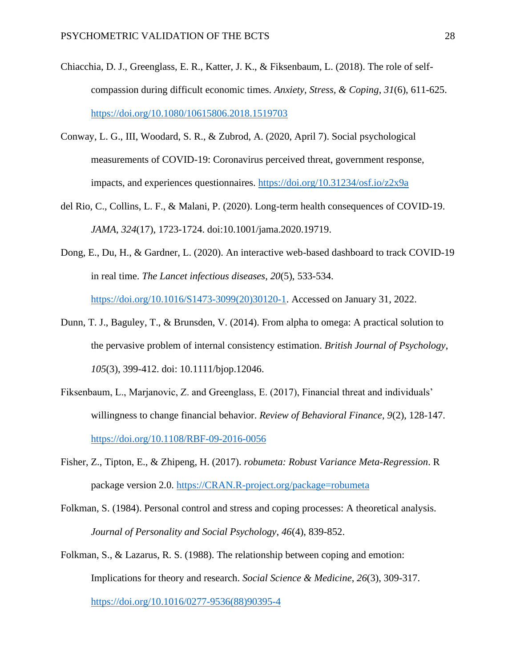- Chiacchia, D. J., Greenglass, E. R., Katter, J. K., & Fiksenbaum, L. (2018). The role of selfcompassion during difficult economic times. *Anxiety, Stress, & Coping*, *31*(6), 611-625. <https://doi.org/10.1080/10615806.2018.1519703>
- Conway, L. G., III, Woodard, S. R., & Zubrod, A. (2020, April 7). Social psychological measurements of COVID-19: Coronavirus perceived threat, government response, impacts, and experiences questionnaires.<https://doi.org/10.31234/osf.io/z2x9a>
- del Rio, C., Collins, L. F., & Malani, P. (2020). Long-term health consequences of COVID-19. *JAMA*, *324*(17), 1723-1724. doi:10.1001/jama.2020.19719.
- Dong, E., Du, H., & Gardner, L. (2020). An interactive web-based dashboard to track COVID-19 in real time. *The Lancet infectious diseases*, *20*(5), 533-534. [https://doi.org/10.1016/S1473-3099\(20\)30120-1.](https://doi.org/10.1016/S1473-3099(20)30120-1) Accessed on January 31, 2022.
- Dunn, T. J., Baguley, T., & Brunsden, V. (2014). From alpha to omega: A practical solution to the pervasive problem of internal consistency estimation. *British Journal of Psychology*, *105*(3), 399-412. doi: 10.1111/bjop.12046.
- Fiksenbaum, L., Marjanovic, Z. and Greenglass, E. (2017), Financial threat and individuals' willingness to change financial behavior. *Review of Behavioral Finance*, *9*(2), 128-147. <https://doi.org/10.1108/RBF-09-2016-0056>
- Fisher, Z., Tipton, E., & Zhipeng, H. (2017). *robumeta: Robust Variance Meta-Regression*. R package version 2.0. [https://CRAN.R-project.org/package=robumeta](https://cran.r-project.org/package=robumeta)
- Folkman, S. (1984). Personal control and stress and coping processes: A theoretical analysis. *Journal of Personality and Social Psychology*, *46*(4), 839-852.
- Folkman, S., & Lazarus, R. S. (1988). The relationship between coping and emotion: Implications for theory and research. *Social Science & Medicine*, *26*(3), 309-317. [https://doi.org/10.1016/0277-9536\(88\)90395-4](https://doi.org/10.1016/0277-9536(88)90395-4)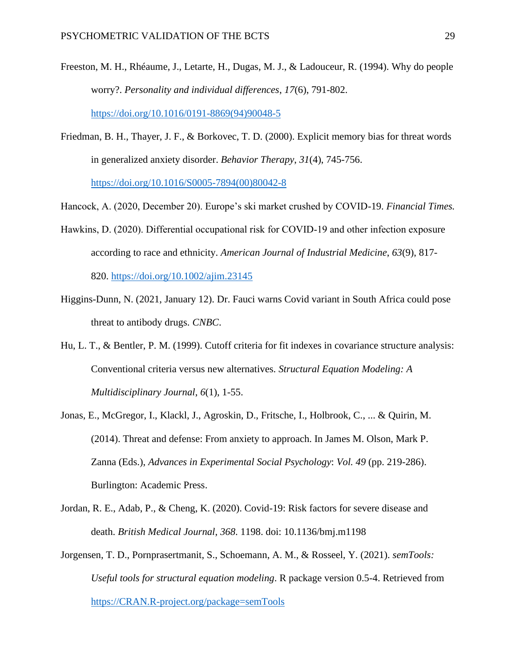- Freeston, M. H., Rhéaume, J., Letarte, H., Dugas, M. J., & Ladouceur, R. (1994). Why do people worry?. *Personality and individual differences*, *17*(6), 791-802. [https://doi.org/10.1016/0191-8869\(94\)90048-5](https://doi.org/10.1016/0191-8869(94)90048-5)
- Friedman, B. H., Thayer, J. F., & Borkovec, T. D. (2000). Explicit memory bias for threat words in generalized anxiety disorder. *Behavior Therapy*, *31*(4), 745-756. [https://doi.org/10.1016/S0005-7894\(00\)80042-8](https://doi.org/10.1016/S0005-7894(00)80042-8)

Hancock, A. (2020, December 20). Europe's ski market crushed by COVID-19. *Financial Times.*

Hawkins, D. (2020). Differential occupational risk for COVID-19 and other infection exposure according to race and ethnicity. *American Journal of Industrial Medicine*, *63*(9), 817- 820. <https://doi.org/10.1002/ajim.23145>

- Higgins-Dunn, N. (2021, January 12). Dr. Fauci warns Covid variant in South Africa could pose threat to antibody drugs. *CNBC*.
- Hu, L. T., & Bentler, P. M. (1999). Cutoff criteria for fit indexes in covariance structure analysis: Conventional criteria versus new alternatives. *Structural Equation Modeling: A Multidisciplinary Journal*, *6*(1), 1-55.
- Jonas, E., McGregor, I., Klackl, J., Agroskin, D., Fritsche, I., Holbrook, C., ... & Quirin, M. (2014). Threat and defense: From anxiety to approach. In James M. Olson, Mark P. Zanna (Eds.), *Advances in Experimental Social Psychology*: *Vol. 49* (pp. 219-286). Burlington: Academic Press.
- Jordan, R. E., Adab, P., & Cheng, K. (2020). Covid-19: Risk factors for severe disease and death. *British Medical Journal*, *368*. 1198. doi: 10.1136/bmj.m1198
- Jorgensen, T. D., Pornprasertmanit, S., Schoemann, A. M., & Rosseel, Y. (2021). *semTools: Useful tools for structural equation modeling*. R package version 0.5-4. Retrieved from [https://CRAN.R-project.org/package=semTools](https://cran.r-project.org/package=semTools)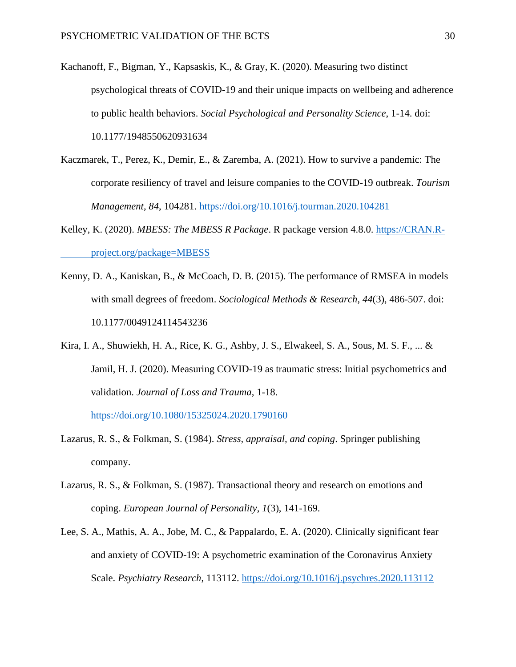- Kachanoff, F., Bigman, Y., Kapsaskis, K., & Gray, K. (2020). Measuring two distinct psychological threats of COVID-19 and their unique impacts on wellbeing and adherence to public health behaviors. *Social Psychological and Personality Science*, 1-14. doi: 10.1177/1948550620931634
- Kaczmarek, T., Perez, K., Demir, E., & Zaremba, A. (2021). How to survive a pandemic: The corporate resiliency of travel and leisure companies to the COVID-19 outbreak. *Tourism Management*, *84*, 104281. <https://doi.org/10.1016/j.tourman.2020.104281>
- Kelley, K. (2020). *MBESS: The MBESS R Package*. R package version 4.8.0. https://CRAN.Rproject.org/package=MBESS
- Kenny, D. A., Kaniskan, B., & McCoach, D. B. (2015). The performance of RMSEA in models with small degrees of freedom. *Sociological Methods & Research*, *44*(3), 486-507. doi: 10.1177/0049124114543236
- Kira, I. A., Shuwiekh, H. A., Rice, K. G., Ashby, J. S., Elwakeel, S. A., Sous, M. S. F., ... & Jamil, H. J. (2020). Measuring COVID-19 as traumatic stress: Initial psychometrics and validation. *Journal of Loss and Trauma*, 1-18.

<https://doi.org/10.1080/15325024.2020.1790160>

- Lazarus, R. S., & Folkman, S. (1984). *Stress, appraisal, and coping*. Springer publishing company.
- Lazarus, R. S., & Folkman, S. (1987). Transactional theory and research on emotions and coping. *European Journal of Personality*, *1*(3), 141-169.
- Lee, S. A., Mathis, A. A., Jobe, M. C., & Pappalardo, E. A. (2020). Clinically significant fear and anxiety of COVID-19: A psychometric examination of the Coronavirus Anxiety Scale. *Psychiatry Research*, 113112. <https://doi.org/10.1016/j.psychres.2020.113112>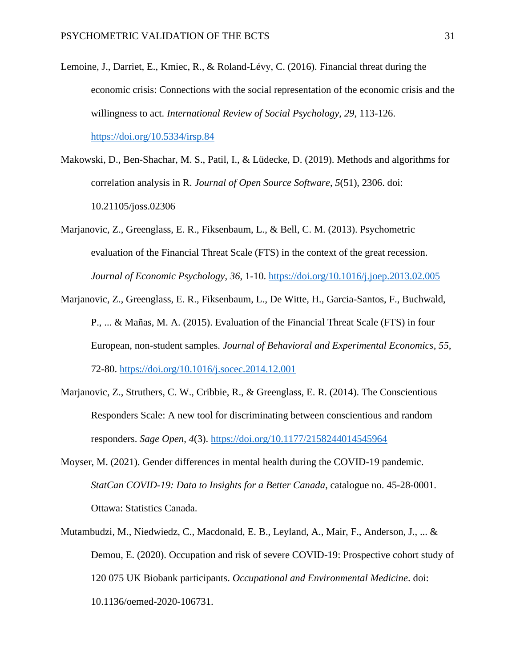- Lemoine, J., Darriet, E., Kmiec, R., & Roland-Lévy, C. (2016). Financial threat during the economic crisis: Connections with the social representation of the economic crisis and the willingness to act. *International Review of Social Psychology*, *29*, 113-126. <https://doi.org/10.5334/irsp.84>
- Makowski, D., Ben-Shachar, M. S., Patil, I., & Lüdecke, D. (2019). Methods and algorithms for correlation analysis in R. *Journal of Open Source Software*, *5*(51), 2306. doi: 10.21105/joss.02306
- Marjanovic, Z., Greenglass, E. R., Fiksenbaum, L., & Bell, C. M. (2013). Psychometric evaluation of the Financial Threat Scale (FTS) in the context of the great recession. *Journal of Economic Psychology*, *36*, 1-10. <https://doi.org/10.1016/j.joep.2013.02.005>
- Marjanovic, Z., Greenglass, E. R., Fiksenbaum, L., De Witte, H., Garcia-Santos, F., Buchwald, P., ... & Mañas, M. A. (2015). Evaluation of the Financial Threat Scale (FTS) in four European, non-student samples. *Journal of Behavioral and Experimental Economics*, *55*, 72-80. <https://doi.org/10.1016/j.socec.2014.12.001>
- Marjanovic, Z., Struthers, C. W., Cribbie, R., & Greenglass, E. R. (2014). The Conscientious Responders Scale: A new tool for discriminating between conscientious and random responders. *Sage Open*, *4*(3). <https://doi.org/10.1177/2158244014545964>
- Moyser, M. (2021). Gender differences in mental health during the COVID-19 pandemic. *StatCan COVID-19: Data to Insights for a Better Canada*, catalogue no. 45-28-0001. Ottawa: Statistics Canada.
- Mutambudzi, M., Niedwiedz, C., Macdonald, E. B., Leyland, A., Mair, F., Anderson, J., ... & Demou, E. (2020). Occupation and risk of severe COVID-19: Prospective cohort study of 120 075 UK Biobank participants. *Occupational and Environmental Medicine*. doi: 10.1136/oemed-2020-106731.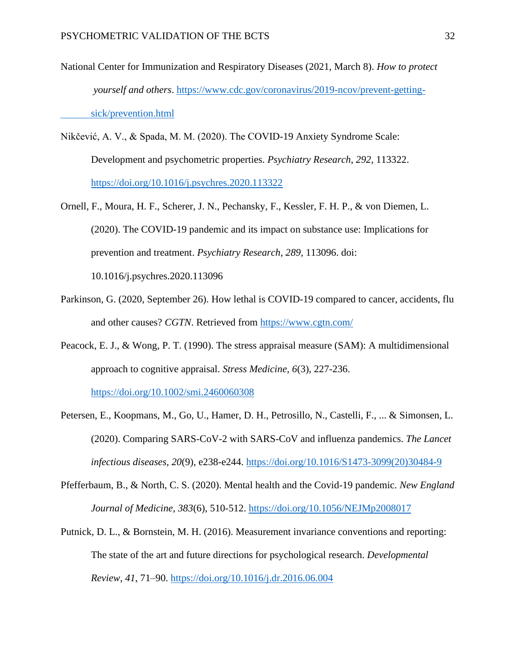- National Center for Immunization and Respiratory Diseases (2021, March 8). *How to protect yourself and others*. [https://www.cdc.gov/coronavirus/2019-ncov/prevent-getting](https://www.cdc.gov/coronavirus/2019-ncov/prevent-getting-%09sick/prevention.html)[sick/prevention.html](https://www.cdc.gov/coronavirus/2019-ncov/prevent-getting-%09sick/prevention.html)
- Nikčević, A. V., & Spada, M. M. (2020). The COVID-19 Anxiety Syndrome Scale: Development and psychometric properties. *Psychiatry Research*, *292*, 113322. <https://doi.org/10.1016/j.psychres.2020.113322>
- Ornell, F., Moura, H. F., Scherer, J. N., Pechansky, F., Kessler, F. H. P., & von Diemen, L. (2020). The COVID-19 pandemic and its impact on substance use: Implications for prevention and treatment. *Psychiatry Research*, *289*, 113096. doi: 10.1016/j.psychres.2020.113096
- Parkinson, G. (2020, September 26). How lethal is COVID-19 compared to cancer, accidents, flu and other causes? *CGTN*. Retrieved from<https://www.cgtn.com/>
- Peacock, E. J., & Wong, P. T. (1990). The stress appraisal measure (SAM): A multidimensional approach to cognitive appraisal. *Stress Medicine*, *6*(3), 227-236. <https://doi.org/10.1002/smi.2460060308>
- Petersen, E., Koopmans, M., Go, U., Hamer, D. H., Petrosillo, N., Castelli, F., ... & Simonsen, L. (2020). Comparing SARS-CoV-2 with SARS-CoV and influenza pandemics. *The Lancet infectious diseases*, *20*(9), e238-e244. [https://doi.org/10.1016/S1473-3099\(20\)30484-9](https://doi.org/10.1016/S1473-3099(20)30484-9)
- Pfefferbaum, B., & North, C. S. (2020). Mental health and the Covid-19 pandemic. *New England Journal of Medicine*, *383*(6), 510-512. <https://doi.org/10.1056/NEJMp2008017>
- Putnick, D. L., & Bornstein, M. H. (2016). Measurement invariance conventions and reporting: The state of the art and future directions for psychological research. *Developmental Review*, *41*, 71–90.<https://doi.org/10.1016/j.dr.2016.06.004>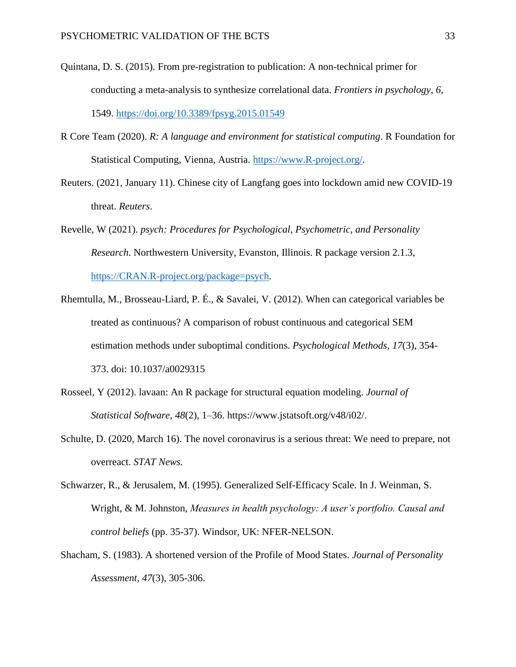- Quintana, D. S. (2015). From pre-registration to publication: A non-technical primer for conducting a meta-analysis to synthesize correlational data. *Frontiers in psychology*, *6*, 1549. <https://doi.org/10.3389/fpsyg.2015.01549>
- R Core Team (2020). *R: A language and environment for statistical computing*. R Foundation for Statistical Computing, Vienna, Austria. [https://www.R-project.org/.](https://www.r-project.org/)
- Reuters. (2021, January 11). Chinese city of Langfang goes into lockdown amid new COVID-19 threat. *Reuters*.
- Revelle, W (2021). *psych: Procedures for Psychological, Psychometric, and Personality Research*. Northwestern University, Evanston, Illinois. R package version 2.1.3, [https://CRAN.R-project.org/package=psych.](https://cran.r-project.org/package=psych)
- Rhemtulla, M., Brosseau-Liard, P. É., & Savalei, V. (2012). When can categorical variables be treated as continuous? A comparison of robust continuous and categorical SEM estimation methods under suboptimal conditions. *Psychological Methods*, *17*(3), 354- 373. doi: 10.1037/a0029315
- Rosseel, Y (2012). lavaan: An R package for structural equation modeling. *Journal of Statistical Software*, *48*(2), 1–36. https://www.jstatsoft.org/v48/i02/.
- Schulte, D. (2020, March 16). The novel coronavirus is a serious threat: We need to prepare, not overreact. *STAT News.*
- Schwarzer, R., & Jerusalem, M. (1995). Generalized Self-Efficacy Scale. In J. Weinman, S. Wright, & M. Johnston, *Measures in health psychology: A user's portfolio. Causal and control beliefs* (pp. 35-37). Windsor, UK: NFER-NELSON.
- Shacham, S. (1983). A shortened version of the Profile of Mood States. *Journal of Personality Assessment*, *47*(3), 305-306.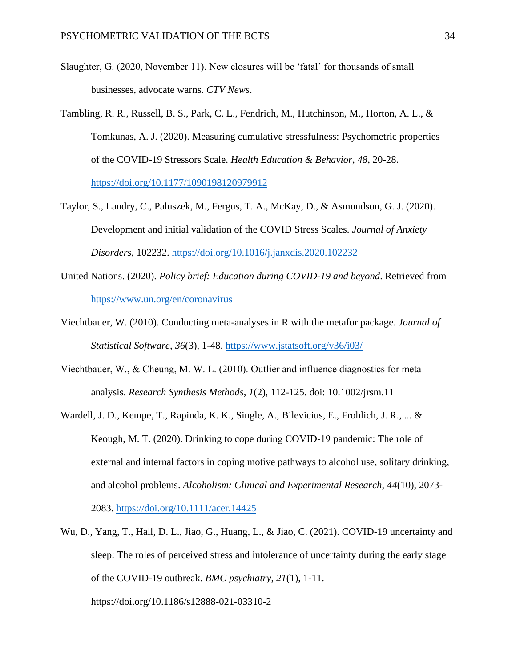- Slaughter, G. (2020, November 11). New closures will be 'fatal' for thousands of small businesses, advocate warns. *CTV News*.
- Tambling, R. R., Russell, B. S., Park, C. L., Fendrich, M., Hutchinson, M., Horton, A. L., & Tomkunas, A. J. (2020). Measuring cumulative stressfulness: Psychometric properties of the COVID-19 Stressors Scale. *Health Education & Behavior*, *48*, 20-28. <https://doi.org/10.1177/1090198120979912>
- Taylor, S., Landry, C., Paluszek, M., Fergus, T. A., McKay, D., & Asmundson, G. J. (2020). Development and initial validation of the COVID Stress Scales. *Journal of Anxiety Disorders*, 102232. <https://doi.org/10.1016/j.janxdis.2020.102232>
- United Nations. (2020). *Policy brief: Education during COVID-19 and beyond*. Retrieved from <https://www.un.org/en/coronavirus>
- Viechtbauer, W. (2010). Conducting meta-analyses in R with the metafor package. *Journal of Statistical Software*, *36*(3), 1-48.<https://www.jstatsoft.org/v36/i03/>
- Viechtbauer, W., & Cheung, M. W. L. (2010). Outlier and influence diagnostics for meta‐ analysis. *Research Synthesis Methods*, *1*(2), 112-125. doi: 10.1002/jrsm.11
- Wardell, J. D., Kempe, T., Rapinda, K. K., Single, A., Bilevicius, E., Frohlich, J. R., ... & Keough, M. T. (2020). Drinking to cope during COVID‐19 pandemic: The role of external and internal factors in coping motive pathways to alcohol use, solitary drinking, and alcohol problems. *Alcoholism: Clinical and Experimental Research*, *44*(10), 2073- 2083. <https://doi.org/10.1111/acer.14425>
- Wu, D., Yang, T., Hall, D. L., Jiao, G., Huang, L., & Jiao, C. (2021). COVID-19 uncertainty and sleep: The roles of perceived stress and intolerance of uncertainty during the early stage of the COVID-19 outbreak. *BMC psychiatry*, *21*(1), 1-11. https://doi.org/10.1186/s12888-021-03310-2